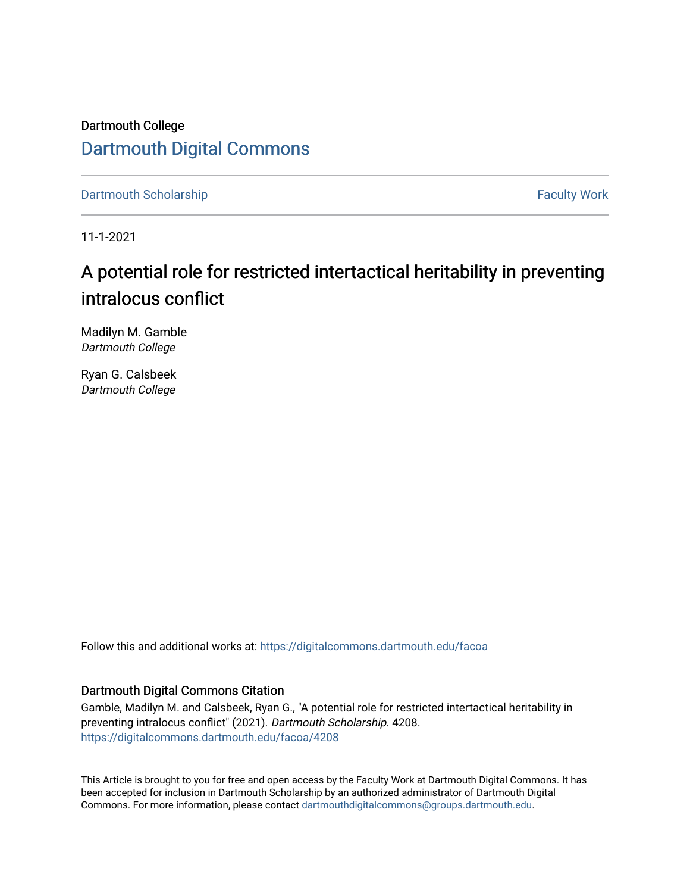Dartmouth College [Dartmouth Digital Commons](https://digitalcommons.dartmouth.edu/) 

[Dartmouth Scholarship](https://digitalcommons.dartmouth.edu/facoa) Faculty Work

11-1-2021

# A potential role for restricted intertactical heritability in preventing intralocus conflict

Madilyn M. Gamble Dartmouth College

Ryan G. Calsbeek Dartmouth College

Follow this and additional works at: [https://digitalcommons.dartmouth.edu/facoa](https://digitalcommons.dartmouth.edu/facoa?utm_source=digitalcommons.dartmouth.edu%2Ffacoa%2F4208&utm_medium=PDF&utm_campaign=PDFCoverPages)

# Dartmouth Digital Commons Citation

Gamble, Madilyn M. and Calsbeek, Ryan G., "A potential role for restricted intertactical heritability in preventing intralocus conflict" (2021). Dartmouth Scholarship. 4208. [https://digitalcommons.dartmouth.edu/facoa/4208](https://digitalcommons.dartmouth.edu/facoa/4208?utm_source=digitalcommons.dartmouth.edu%2Ffacoa%2F4208&utm_medium=PDF&utm_campaign=PDFCoverPages) 

This Article is brought to you for free and open access by the Faculty Work at Dartmouth Digital Commons. It has been accepted for inclusion in Dartmouth Scholarship by an authorized administrator of Dartmouth Digital Commons. For more information, please contact [dartmouthdigitalcommons@groups.dartmouth.edu](mailto:dartmouthdigitalcommons@groups.dartmouth.edu).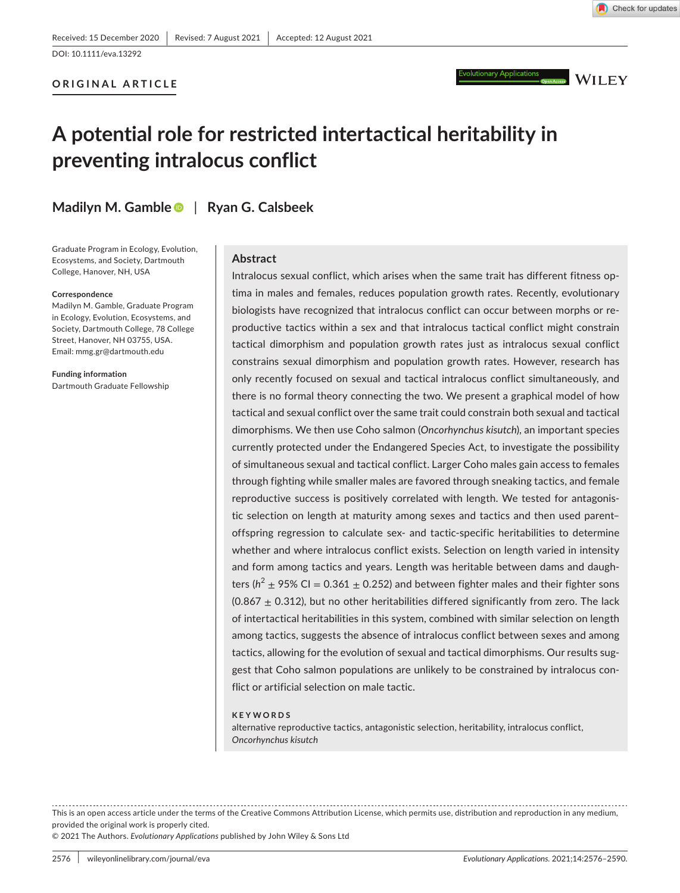DOI: 10.1111/eva.13292

# **ORIGINAL ARTICLE**



# **A potential role for restricted intertactical heritability in preventing intralocus conflict**

**Madilyn M. Gambl[e](https://orcid.org/0000-0003-4791-059X)** | **Ryan G. Calsbeek**

Graduate Program in Ecology, Evolution, Ecosystems, and Society, Dartmouth College, Hanover, NH, USA

#### **Correspondence**

Madilyn M. Gamble, Graduate Program in Ecology, Evolution, Ecosystems, and Society, Dartmouth College, 78 College Street, Hanover, NH 03755, USA. Email: [mmg.gr@dartmouth.edu](mailto:mmg.gr@dartmouth.edu)

**Funding information** Dartmouth Graduate Fellowship

### **Abstract**

Intralocus sexual conflict, which arises when the same trait has different fitness optima in males and females, reduces population growth rates. Recently, evolutionary biologists have recognized that intralocus conflict can occur between morphs or reproductive tactics within a sex and that intralocus tactical conflict might constrain tactical dimorphism and population growth rates just as intralocus sexual conflict constrains sexual dimorphism and population growth rates. However, research has only recently focused on sexual and tactical intralocus conflict simultaneously, and there is no formal theory connecting the two. We present a graphical model of how tactical and sexual conflict over the same trait could constrain both sexual and tactical dimorphisms. We then use Coho salmon (*Oncorhynchus kisutch*), an important species currently protected under the Endangered Species Act, to investigate the possibility of simultaneous sexual and tactical conflict. Larger Coho males gain access to females through fighting while smaller males are favored through sneaking tactics, and female reproductive success is positively correlated with length. We tested for antagonistic selection on length at maturity among sexes and tactics and then used parent– offspring regression to calculate sex- and tactic-specific heritabilities to determine whether and where intralocus conflict exists. Selection on length varied in intensity and form among tactics and years. Length was heritable between dams and daughters ( $h^2 \pm 95\%$  CI = 0.361  $\pm$  0.252) and between fighter males and their fighter sons (0.867  $\pm$  0.312), but no other heritabilities differed significantly from zero. The lack of intertactical heritabilities in this system, combined with similar selection on length among tactics, suggests the absence of intralocus conflict between sexes and among tactics, allowing for the evolution of sexual and tactical dimorphisms. Our results suggest that Coho salmon populations are unlikely to be constrained by intralocus conflict or artificial selection on male tactic.

#### **KEYWORDS**

alternative reproductive tactics, antagonistic selection, heritability, intralocus conflict, *Oncorhynchus kisutch*

This is an open access article under the terms of the [Creative Commons Attribution](http://creativecommons.org/licenses/by/4.0/) License, which permits use, distribution and reproduction in any medium, provided the original work is properly cited.

© 2021 The Authors. *Evolutionary Applications* published by John Wiley & Sons Ltd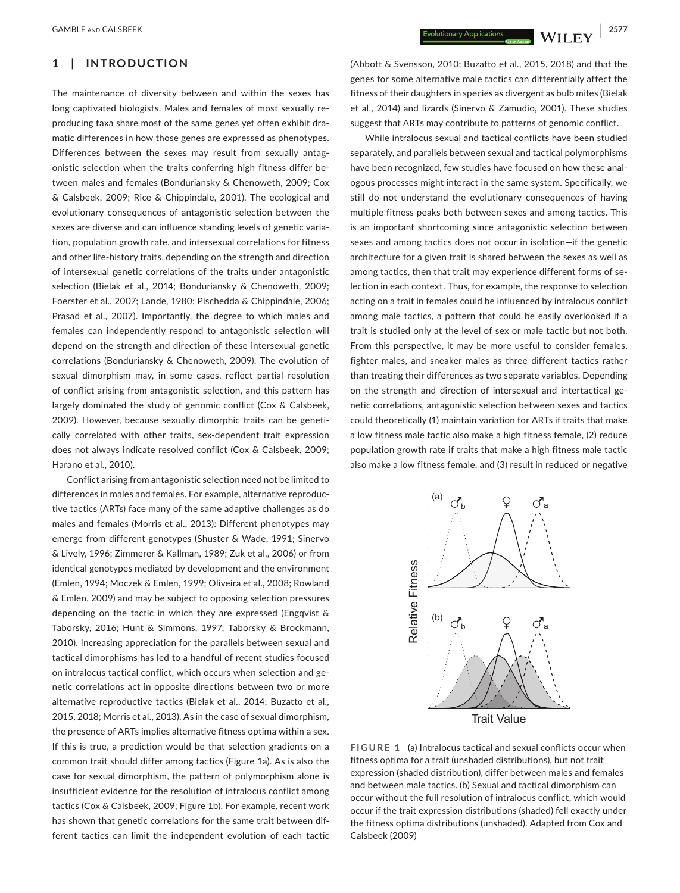# **1**  | **INTRODUCTION**

The maintenance of diversity between and within the sexes has long captivated biologists. Males and females of most sexually reproducing taxa share most of the same genes yet often exhibit dramatic differences in how those genes are expressed as phenotypes. Differences between the sexes may result from sexually antagonistic selection when the traits conferring high fitness differ between males and females (Bonduriansky & Chenoweth, 2009; Cox & Calsbeek, 2009; Rice & Chippindale, 2001). The ecological and evolutionary consequences of antagonistic selection between the sexes are diverse and can influence standing levels of genetic variation, population growth rate, and intersexual correlations for fitness and other life-history traits, depending on the strength and direction of intersexual genetic correlations of the traits under antagonistic selection (Bielak et al., 2014; Bonduriansky & Chenoweth, 2009; Foerster et al., 2007; Lande, 1980; Pischedda & Chippindale, 2006; Prasad et al., 2007). Importantly, the degree to which males and females can independently respond to antagonistic selection will depend on the strength and direction of these intersexual genetic correlations (Bonduriansky & Chenoweth, 2009). The evolution of sexual dimorphism may, in some cases, reflect partial resolution of conflict arising from antagonistic selection, and this pattern has largely dominated the study of genomic conflict (Cox & Calsbeek, 2009). However, because sexually dimorphic traits can be genetically correlated with other traits, sex-dependent trait expression does not always indicate resolved conflict (Cox & Calsbeek, 2009; Harano et al., 2010).

Conflict arising from antagonistic selection need not be limited to differences in males and females. For example, alternative reproductive tactics (ARTs) face many of the same adaptive challenges as do males and females (Morris et al., 2013): Different phenotypes may emerge from different genotypes (Shuster & Wade, 1991; Sinervo & Lively, 1996; Zimmerer & Kallman, 1989; Zuk et al., 2006) or from identical genotypes mediated by development and the environment (Emlen, 1994; Moczek & Emlen, 1999; Oliveira et al., 2008; Rowland & Emlen, 2009) and may be subject to opposing selection pressures depending on the tactic in which they are expressed (Engqvist & Taborsky, 2016; Hunt & Simmons, 1997; Taborsky & Brockmann, 2010). Increasing appreciation for the parallels between sexual and tactical dimorphisms has led to a handful of recent studies focused on intralocus tactical conflict, which occurs when selection and genetic correlations act in opposite directions between two or more alternative reproductive tactics (Bielak et al., 2014; Buzatto et al., 2015, 2018; Morris et al., 2013). As in the case of sexual dimorphism, the presence of ARTs implies alternative fitness optima within a sex. If this is true, a prediction would be that selection gradients on a common trait should differ among tactics (Figure 1a). As is also the case for sexual dimorphism, the pattern of polymorphism alone is insufficient evidence for the resolution of intralocus conflict among tactics (Cox & Calsbeek, 2009; Figure 1b). For example, recent work has shown that genetic correlations for the same trait between different tactics can limit the independent evolution of each tactic

(Abbott & Svensson, 2010; Buzatto et al., 2015, 2018) and that the genes for some alternative male tactics can differentially affect the fitness of their daughters in species as divergent as bulb mites (Bielak et al., 2014) and lizards (Sinervo & Zamudio, 2001). These studies suggest that ARTs may contribute to patterns of genomic conflict.

While intralocus sexual and tactical conflicts have been studied separately, and parallels between sexual and tactical polymorphisms have been recognized, few studies have focused on how these analogous processes might interact in the same system. Specifically, we still do not understand the evolutionary consequences of having multiple fitness peaks both between sexes and among tactics. This is an important shortcoming since antagonistic selection between sexes and among tactics does not occur in isolation—if the genetic architecture for a given trait is shared between the sexes as well as among tactics, then that trait may experience different forms of selection in each context. Thus, for example, the response to selection acting on a trait in females could be influenced by intralocus conflict among male tactics, a pattern that could be easily overlooked if a trait is studied only at the level of sex or male tactic but not both. From this perspective, it may be more useful to consider females, fighter males, and sneaker males as three different tactics rather than treating their differences as two separate variables. Depending on the strength and direction of intersexual and intertactical genetic correlations, antagonistic selection between sexes and tactics could theoretically (1) maintain variation for ARTs if traits that make a low fitness male tactic also make a high fitness female, (2) reduce population growth rate if traits that make a high fitness male tactic also make a low fitness female, and (3) result in reduced or negative



**FIGURE 1** (a) Intralocus tactical and sexual conflicts occur when fitness optima for a trait (unshaded distributions), but not trait expression (shaded distribution), differ between males and females and between male tactics. (b) Sexual and tactical dimorphism can occur without the full resolution of intralocus conflict, which would occur if the trait expression distributions (shaded) fell exactly under the fitness optima distributions (unshaded). Adapted from Cox and Calsbeek (2009)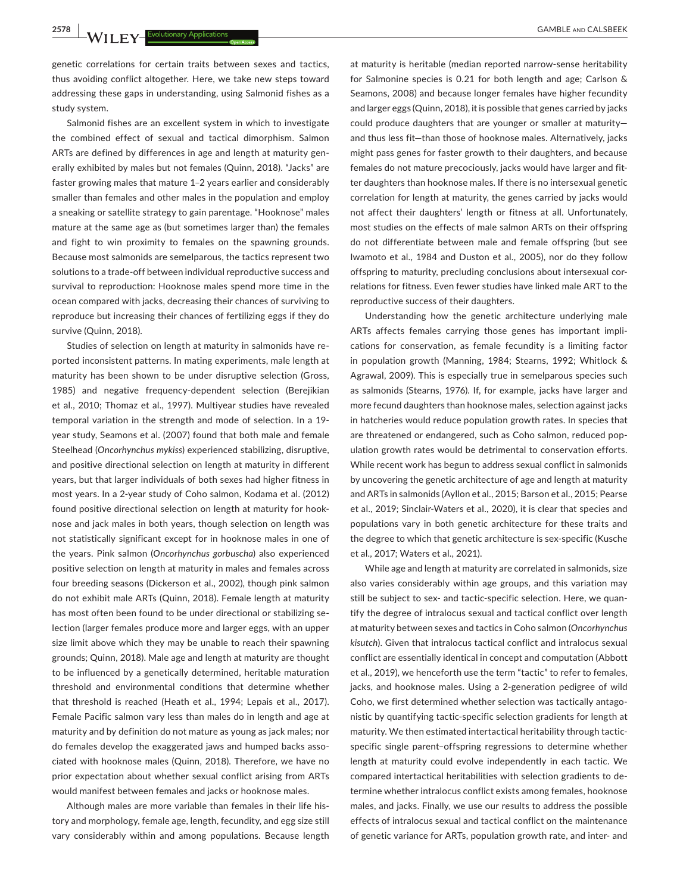genetic correlations for certain traits between sexes and tactics, thus avoiding conflict altogether. Here, we take new steps toward addressing these gaps in understanding, using Salmonid fishes as a study system.

Salmonid fishes are an excellent system in which to investigate the combined effect of sexual and tactical dimorphism. Salmon ARTs are defined by differences in age and length at maturity generally exhibited by males but not females (Quinn, 2018). "Jacks" are faster growing males that mature 1–2 years earlier and considerably smaller than females and other males in the population and employ a sneaking or satellite strategy to gain parentage. "Hooknose" males mature at the same age as (but sometimes larger than) the females and fight to win proximity to females on the spawning grounds. Because most salmonids are semelparous, the tactics represent two solutions to a trade-off between individual reproductive success and survival to reproduction: Hooknose males spend more time in the ocean compared with jacks, decreasing their chances of surviving to reproduce but increasing their chances of fertilizing eggs if they do survive (Quinn, 2018).

Studies of selection on length at maturity in salmonids have reported inconsistent patterns. In mating experiments, male length at maturity has been shown to be under disruptive selection (Gross, 1985) and negative frequency-dependent selection (Berejikian et al., 2010; Thomaz et al., 1997). Multiyear studies have revealed temporal variation in the strength and mode of selection. In a 19 year study, Seamons et al. (2007) found that both male and female Steelhead (*Oncorhynchus mykiss*) experienced stabilizing, disruptive, and positive directional selection on length at maturity in different years, but that larger individuals of both sexes had higher fitness in most years. In a 2-year study of Coho salmon, Kodama et al. (2012) found positive directional selection on length at maturity for hooknose and jack males in both years, though selection on length was not statistically significant except for in hooknose males in one of the years. Pink salmon (*Oncorhynchus gorbuscha*) also experienced positive selection on length at maturity in males and females across four breeding seasons (Dickerson et al., 2002), though pink salmon do not exhibit male ARTs (Quinn, 2018). Female length at maturity has most often been found to be under directional or stabilizing selection (larger females produce more and larger eggs, with an upper size limit above which they may be unable to reach their spawning grounds; Quinn, 2018). Male age and length at maturity are thought to be influenced by a genetically determined, heritable maturation threshold and environmental conditions that determine whether that threshold is reached (Heath et al., 1994; Lepais et al., 2017). Female Pacific salmon vary less than males do in length and age at maturity and by definition do not mature as young as jack males; nor do females develop the exaggerated jaws and humped backs associated with hooknose males (Quinn, 2018). Therefore, we have no prior expectation about whether sexual conflict arising from ARTs would manifest between females and jacks or hooknose males.

Although males are more variable than females in their life history and morphology, female age, length, fecundity, and egg size still vary considerably within and among populations. Because length

at maturity is heritable (median reported narrow-sense heritability for Salmonine species is 0.21 for both length and age; Carlson & Seamons, 2008) and because longer females have higher fecundity and larger eggs (Quinn, 2018), it is possible that genes carried by jacks could produce daughters that are younger or smaller at maturity and thus less fit—than those of hooknose males. Alternatively, jacks might pass genes for faster growth to their daughters, and because females do not mature precociously, jacks would have larger and fitter daughters than hooknose males. If there is no intersexual genetic correlation for length at maturity, the genes carried by jacks would not affect their daughters' length or fitness at all. Unfortunately, most studies on the effects of male salmon ARTs on their offspring do not differentiate between male and female offspring (but see Iwamoto et al., 1984 and Duston et al., 2005), nor do they follow offspring to maturity, precluding conclusions about intersexual correlations for fitness. Even fewer studies have linked male ART to the reproductive success of their daughters.

Understanding how the genetic architecture underlying male ARTs affects females carrying those genes has important implications for conservation, as female fecundity is a limiting factor in population growth (Manning, 1984; Stearns, 1992; Whitlock & Agrawal, 2009). This is especially true in semelparous species such as salmonids (Stearns, 1976). If, for example, jacks have larger and more fecund daughters than hooknose males, selection against jacks in hatcheries would reduce population growth rates. In species that are threatened or endangered, such as Coho salmon, reduced population growth rates would be detrimental to conservation efforts. While recent work has begun to address sexual conflict in salmonids by uncovering the genetic architecture of age and length at maturity and ARTs in salmonids (Ayllon et al., 2015; Barson et al., 2015; Pearse et al., 2019; Sinclair-Waters et al., 2020), it is clear that species and populations vary in both genetic architecture for these traits and the degree to which that genetic architecture is sex-specific (Kusche et al., 2017; Waters et al., 2021).

While age and length at maturity are correlated in salmonids, size also varies considerably within age groups, and this variation may still be subject to sex- and tactic-specific selection. Here, we quantify the degree of intralocus sexual and tactical conflict over length at maturity between sexes and tactics in Coho salmon (*Oncorhynchus kisutch*). Given that intralocus tactical conflict and intralocus sexual conflict are essentially identical in concept and computation (Abbott et al., 2019), we henceforth use the term "tactic" to refer to females, jacks, and hooknose males. Using a 2-generation pedigree of wild Coho, we first determined whether selection was tactically antagonistic by quantifying tactic-specific selection gradients for length at maturity. We then estimated intertactical heritability through tacticspecific single parent–offspring regressions to determine whether length at maturity could evolve independently in each tactic. We compared intertactical heritabilities with selection gradients to determine whether intralocus conflict exists among females, hooknose males, and jacks. Finally, we use our results to address the possible effects of intralocus sexual and tactical conflict on the maintenance of genetic variance for ARTs, population growth rate, and inter- and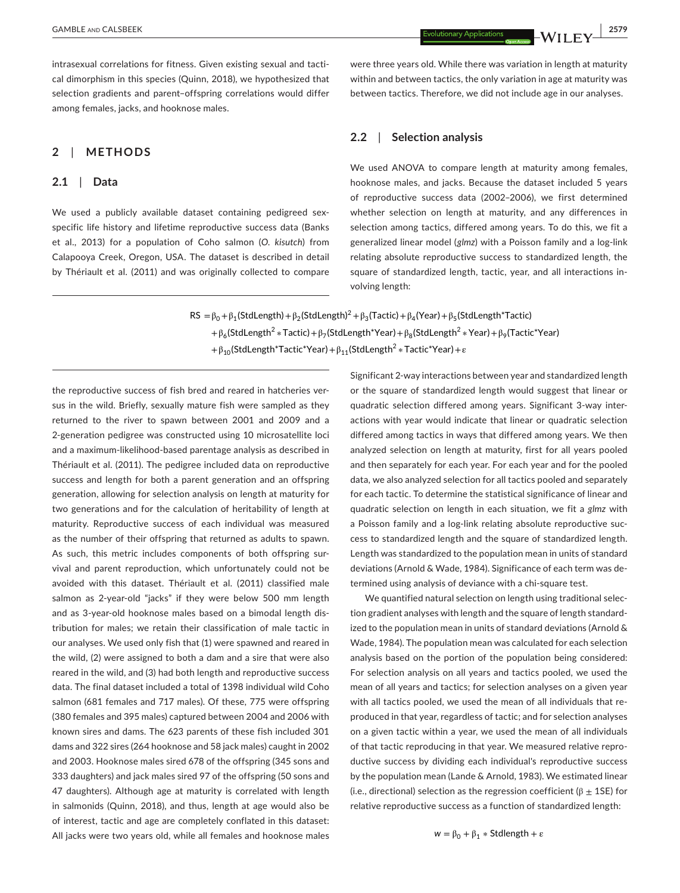intrasexual correlations for fitness. Given existing sexual and tactical dimorphism in this species (Quinn, 2018), we hypothesized that selection gradients and parent–offspring correlations would differ among females, jacks, and hooknose males.

# **2**  | **METHODS**

# **2.1**  | **Data**

We used a publicly available dataset containing pedigreed sexspecific life history and lifetime reproductive success data (Banks et al., 2013) for a population of Coho salmon (*O*. *kisutch*) from Calapooya Creek, Oregon, USA. The dataset is described in detail by Thériault et al. (2011) and was originally collected to compare were three years old. While there was variation in length at maturity within and between tactics, the only variation in age at maturity was between tactics. Therefore, we did not include age in our analyses.

# **2.2**  | **Selection analysis**

We used ANOVA to compare length at maturity among females, hooknose males, and jacks. Because the dataset included 5 years of reproductive success data (2002–2006), we first determined whether selection on length at maturity, and any differences in selection among tactics, differed among years. To do this, we fit a generalized linear model (*glmz*) with a Poisson family and a log-link relating absolute reproductive success to standardized length, the square of standardized length, tactic, year, and all interactions involving length:

 $RS = \beta_0 + \beta_1(StdLength) + \beta_2(StdLength)^2 + \beta_3(Tactic) + \beta_4(Year) + \beta_5(StdLength^*Tactic)$ + $\beta_6$ (StdLength<sup>2</sup> \* Tactic) +  $\beta_7$ (StdLength\*Year) +  $\beta_8$ (StdLength<sup>2</sup> \* Year) +  $\beta_9$ (Tactic\*Year)  $+\beta_{10}$ (StdLength\*Tactic\*Year) +  $\beta_{11}$ (StdLength<sup>2</sup> \* Tactic\*Year) +  $\varepsilon$ 

the reproductive success of fish bred and reared in hatcheries versus in the wild. Briefly, sexually mature fish were sampled as they returned to the river to spawn between 2001 and 2009 and a 2-generation pedigree was constructed using 10 microsatellite loci and a maximum-likelihood-based parentage analysis as described in Thériault et al. (2011). The pedigree included data on reproductive success and length for both a parent generation and an offspring generation, allowing for selection analysis on length at maturity for two generations and for the calculation of heritability of length at maturity. Reproductive success of each individual was measured as the number of their offspring that returned as adults to spawn. As such, this metric includes components of both offspring survival and parent reproduction, which unfortunately could not be avoided with this dataset. Thériault et al. (2011) classified male salmon as 2-year-old "jacks" if they were below 500 mm length and as 3-year-old hooknose males based on a bimodal length distribution for males; we retain their classification of male tactic in our analyses. We used only fish that (1) were spawned and reared in the wild, (2) were assigned to both a dam and a sire that were also reared in the wild, and (3) had both length and reproductive success data. The final dataset included a total of 1398 individual wild Coho salmon (681 females and 717 males). Of these, 775 were offspring (380 females and 395 males) captured between 2004 and 2006 with known sires and dams. The 623 parents of these fish included 301 dams and 322 sires (264 hooknose and 58 jack males) caught in 2002 and 2003. Hooknose males sired 678 of the offspring (345 sons and 333 daughters) and jack males sired 97 of the offspring (50 sons and 47 daughters). Although age at maturity is correlated with length in salmonids (Quinn, 2018), and thus, length at age would also be of interest, tactic and age are completely conflated in this dataset: All jacks were two years old, while all females and hooknose males Significant 2-way interactions between year and standardized length or the square of standardized length would suggest that linear or quadratic selection differed among years. Significant 3-way interactions with year would indicate that linear or quadratic selection differed among tactics in ways that differed among years. We then analyzed selection on length at maturity, first for all years pooled and then separately for each year. For each year and for the pooled data, we also analyzed selection for all tactics pooled and separately for each tactic. To determine the statistical significance of linear and quadratic selection on length in each situation, we fit a *glmz* with a Poisson family and a log-link relating absolute reproductive success to standardized length and the square of standardized length. Length was standardized to the population mean in units of standard deviations (Arnold & Wade, 1984). Significance of each term was determined using analysis of deviance with a chi-square test.

We quantified natural selection on length using traditional selection gradient analyses with length and the square of length standardized to the population mean in units of standard deviations (Arnold & Wade, 1984). The population mean was calculated for each selection analysis based on the portion of the population being considered: For selection analysis on all years and tactics pooled, we used the mean of all years and tactics; for selection analyses on a given year with all tactics pooled, we used the mean of all individuals that reproduced in that year, regardless of tactic; and for selection analyses on a given tactic within a year, we used the mean of all individuals of that tactic reproducing in that year. We measured relative reproductive success by dividing each individual's reproductive success by the population mean (Lande & Arnold, 1983). We estimated linear (i.e., directional) selection as the regression coefficient ( $\beta \pm 1$ SE) for relative reproductive success as a function of standardized length: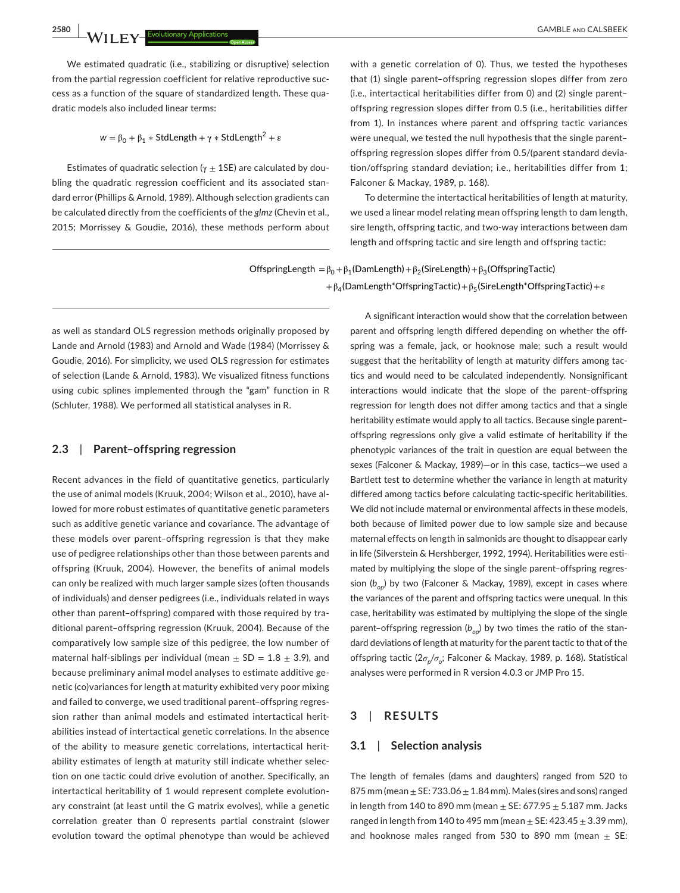We estimated quadratic (i.e., stabilizing or disruptive) selection from the partial regression coefficient for relative reproductive success as a function of the square of standardized length. These quadratic models also included linear terms:

 $w = \beta_0 + \beta_1 * \text{StdLength} + \gamma * \text{StdLength}^2 + \varepsilon$ 

Estimates of quadratic selection ( $\gamma \pm 1$ SE) are calculated by doubling the quadratic regression coefficient and its associated standard error (Phillips & Arnold, 1989). Although selection gradients can be calculated directly from the coefficients of the *glmz* (Chevin et al., 2015; Morrissey & Goudie, 2016), these methods perform about

with a genetic correlation of 0). Thus, we tested the hypotheses that (1) single parent–offspring regression slopes differ from zero (i.e., intertactical heritabilities differ from 0) and (2) single parent– offspring regression slopes differ from 0.5 (i.e., heritabilities differ from 1). In instances where parent and offspring tactic variances were unequal, we tested the null hypothesis that the single parent– offspring regression slopes differ from 0.5/(parent standard deviation/offspring standard deviation; i.e., heritabilities differ from 1; Falconer & Mackay, 1989, p. 168).

To determine the intertactical heritabilities of length at maturity, we used a linear model relating mean offspring length to dam length, sire length, offspring tactic, and two-way interactions between dam length and offspring tactic and sire length and offspring tactic:

OffspringLength =  $\beta_0 + \beta_1$ (DamLength) +  $\beta_2$ (SireLength) +  $\beta_3$ (OffspringTactic) + $\beta_4$ (DamLength\*OffspringTactic)+ $\beta_5$ (SireLength\*OffspringTactic)+ $\varepsilon$ 

as well as standard OLS regression methods originally proposed by Lande and Arnold (1983) and Arnold and Wade (1984) (Morrissey & Goudie, 2016). For simplicity, we used OLS regression for estimates of selection (Lande & Arnold, 1983). We visualized fitness functions using cubic splines implemented through the "gam" function in R (Schluter, 1988). We performed all statistical analyses in R.

#### **2.3**  | **Parent–offspring regression**

Recent advances in the field of quantitative genetics, particularly the use of animal models (Kruuk, 2004; Wilson et al., 2010), have allowed for more robust estimates of quantitative genetic parameters such as additive genetic variance and covariance. The advantage of these models over parent–offspring regression is that they make use of pedigree relationships other than those between parents and offspring (Kruuk, 2004). However, the benefits of animal models can only be realized with much larger sample sizes (often thousands of individuals) and denser pedigrees (i.e., individuals related in ways other than parent–offspring) compared with those required by traditional parent–offspring regression (Kruuk, 2004). Because of the comparatively low sample size of this pedigree, the low number of maternal half-siblings per individual (mean  $\pm$  SD = 1.8  $\pm$  3.9), and because preliminary animal model analyses to estimate additive genetic (co)variances for length at maturity exhibited very poor mixing and failed to converge, we used traditional parent–offspring regression rather than animal models and estimated intertactical heritabilities instead of intertactical genetic correlations. In the absence of the ability to measure genetic correlations, intertactical heritability estimates of length at maturity still indicate whether selection on one tactic could drive evolution of another. Specifically, an intertactical heritability of 1 would represent complete evolutionary constraint (at least until the G matrix evolves), while a genetic correlation greater than 0 represents partial constraint (slower evolution toward the optimal phenotype than would be achieved

A significant interaction would show that the correlation between parent and offspring length differed depending on whether the offspring was a female, jack, or hooknose male; such a result would suggest that the heritability of length at maturity differs among tactics and would need to be calculated independently. Nonsignificant interactions would indicate that the slope of the parent–offspring regression for length does not differ among tactics and that a single heritability estimate would apply to all tactics. Because single parent– offspring regressions only give a valid estimate of heritability if the phenotypic variances of the trait in question are equal between the sexes (Falconer & Mackay, 1989)—or in this case, tactics—we used a Bartlett test to determine whether the variance in length at maturity differed among tactics before calculating tactic-specific heritabilities. We did not include maternal or environmental affects in these models, both because of limited power due to low sample size and because maternal effects on length in salmonids are thought to disappear early in life (Silverstein & Hershberger, 1992, 1994). Heritabilities were estimated by multiplying the slope of the single parent–offspring regression (b<sub>op</sub>) by two (Falconer & Mackay, 1989), except in cases where the variances of the parent and offspring tactics were unequal. In this case, heritability was estimated by multiplying the slope of the single parent-offspring regression  $(b_{op})$  by two times the ratio of the standard deviations of length at maturity for the parent tactic to that of the offspring tactic (2*σp*/*σo*; Falconer & Mackay, 1989, p. 168). Statistical analyses were performed in R version 4.0.3 or JMP Pro 15.

## **3**  | **RESULTS**

#### **3.1**  | **Selection analysis**

The length of females (dams and daughters) ranged from 520 to 875 mm (mean  $\pm$  SE: 733.06  $\pm$  1.84 mm). Males (sires and sons) ranged in length from 140 to 890 mm (mean  $\pm$  SE: 677.95  $\pm$  5.187 mm. Jacks ranged in length from 140 to 495 mm (mean  $\pm$  SE: 423.45  $\pm$  3.39 mm), and hooknose males ranged from 530 to 890 mm (mean  $\pm$  SE: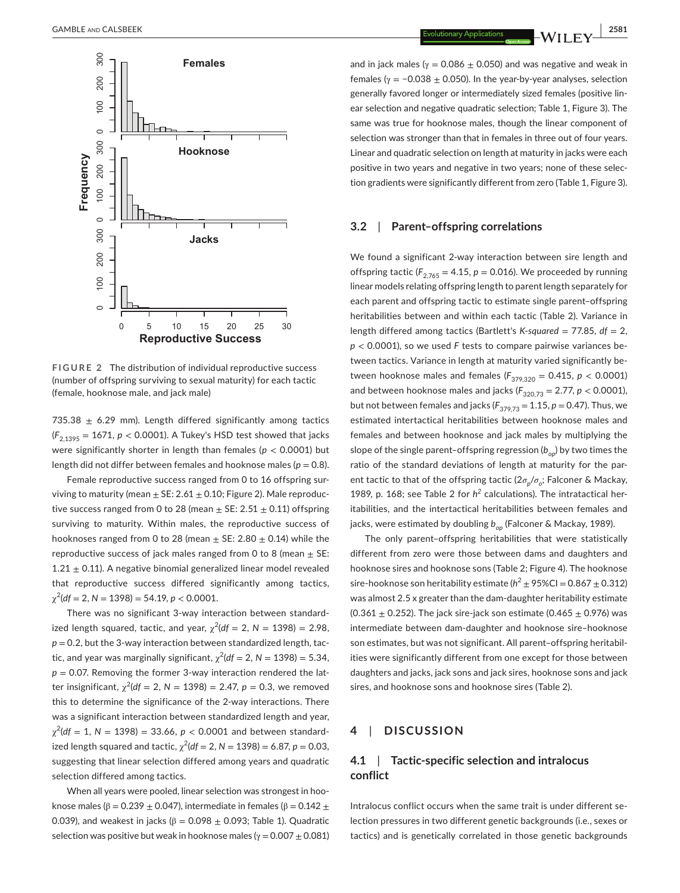

**FIGURE 2** The distribution of individual reproductive success (number of offspring surviving to sexual maturity) for each tactic

735.38  $\pm$  6.29 mm). Length differed significantly among tactics  $(F_{2,1395} = 1671, p < 0.0001)$ . A Tukey's HSD test showed that jacks were significantly shorter in length than females (*p* < 0.0001) but length did not differ between females and hooknose males ( $p = 0.8$ ).

Female reproductive success ranged from 0 to 16 offspring surviving to maturity (mean  $\pm$  SE: 2.61  $\pm$  0.10; Figure 2). Male reproductive success ranged from 0 to 28 (mean  $\pm$  SE: 2.51  $\pm$  0.11) offspring surviving to maturity. Within males, the reproductive success of hooknoses ranged from 0 to 28 (mean  $\pm$  SE: 2.80  $\pm$  0.14) while the reproductive success of jack males ranged from 0 to 8 (mean  $\pm$  SE:  $1.21 \pm 0.11$ ). A negative binomial generalized linear model revealed that reproductive success differed significantly among tactics,  $\chi^2$ (df = 2, N = 1398) = 54.19, p < 0.0001.

There was no significant 3-way interaction between standardized length squared, tactic, and year,  $\chi^2(df = 2, N = 1398) = 2.98$ ,  $p = 0.2$ , but the 3-way interaction between standardized length, tactic, and year was marginally significant,  $\chi^2(df = 2, N = 1398) = 5.34$ ,  $p = 0.07$ . Removing the former 3-way interaction rendered the latter insignificant,  $\chi^2(df = 2, N = 1398) = 2.47, p = 0.3$ , we removed this to determine the significance of the 2-way interactions. There was a significant interaction between standardized length and year,  $\chi^2$ (*df* = 1, N = 1398) = 33.66, *p* < 0.0001 and between standardized length squared and tactic,  $\chi^2(df = 2, N = 1398) = 6.87, p = 0.03,$ suggesting that linear selection differed among years and quadratic selection differed among tactics.

When all years were pooled, linear selection was strongest in hooknose males ( $\beta$  = 0.239  $\pm$  0.047), intermediate in females ( $\beta$  = 0.142  $\pm$ 0.039), and weakest in jacks ( $\beta = 0.098 \pm 0.093$ ; Table 1). Quadratic selection was positive but weak in hooknose males ( $\gamma = 0.007 \pm 0.081$ )

and in jack males ( $\gamma = 0.086 \pm 0.050$ ) and was negative and weak in females ( $\gamma = -0.038 \pm 0.050$ ). In the year-by-year analyses, selection generally favored longer or intermediately sized females (positive linear selection and negative quadratic selection; Table 1, Figure 3). The same was true for hooknose males, though the linear component of selection was stronger than that in females in three out of four years. Linear and quadratic selection on length at maturity in jacks were each positive in two years and negative in two years; none of these selection gradients were significantly different from zero (Table 1, Figure 3).

# **3.2**  | **Parent–offspring correlations**

We found a significant 2-way interaction between sire length and offspring tactic ( $F_{2,765} = 4.15$ ,  $p = 0.016$ ). We proceeded by running linear models relating offspring length to parent length separately for each parent and offspring tactic to estimate single parent–offspring heritabilities between and within each tactic (Table 2). Variance in length differed among tactics (Bartlett's *K*-*squared* = 77.85, *df* = 2, *p* < 0.0001), so we used *F* tests to compare pairwise variances between tactics. Variance in length at maturity varied significantly between hooknose males and females ( $F_{379,320} = 0.415$ ,  $p < 0.0001$ ) and between hooknose males and jacks ( $F_{320,73} = 2.77$ ,  $p < 0.0001$ ), but not between females and jacks  $(F_{379,73} = 1.15, p = 0.47)$ . Thus, we estimated intertactical heritabilities between hooknose males and females and between hooknose and jack males by multiplying the slope of the single parent-offspring regression ( $b_{op}$ ) by two times the ratio of the standard deviations of length at maturity for the parent tactic to that of the offspring tactic (2*σp*/*σo*; Falconer & Mackay, 1989, p. 168; see Table 2 for  $h^2$  calculations). The intratactical heritabilities, and the intertactical heritabilities between females and jacks, were estimated by doubling  $b_{op}$  (Falconer & Mackay, 1989).

The only parent–offspring heritabilities that were statistically different from zero were those between dams and daughters and hooknose sires and hooknose sons (Table 2; Figure 4). The hooknose sire-hooknose son heritability estimate ( $h^2 \pm 95\%$ CI = 0.867  $\pm$  0.312) was almost 2.5 x greater than the dam-daughter heritability estimate  $(0.361 \pm 0.252)$ . The jack sire-jack son estimate  $(0.465 \pm 0.976)$  was intermediate between dam-daughter and hooknose sire–hooknose son estimates, but was not significant. All parent–offspring heritabilities were significantly different from one except for those between daughters and jacks, jack sons and jack sires, hooknose sons and jack sires, and hooknose sons and hooknose sires (Table 2).

### **4**  | **DISCUSSION**

# **4.1**  | **Tactic-specific selection and intralocus conflict**

Intralocus conflict occurs when the same trait is under different selection pressures in two different genetic backgrounds (i.e., sexes or tactics) and is genetically correlated in those genetic backgrounds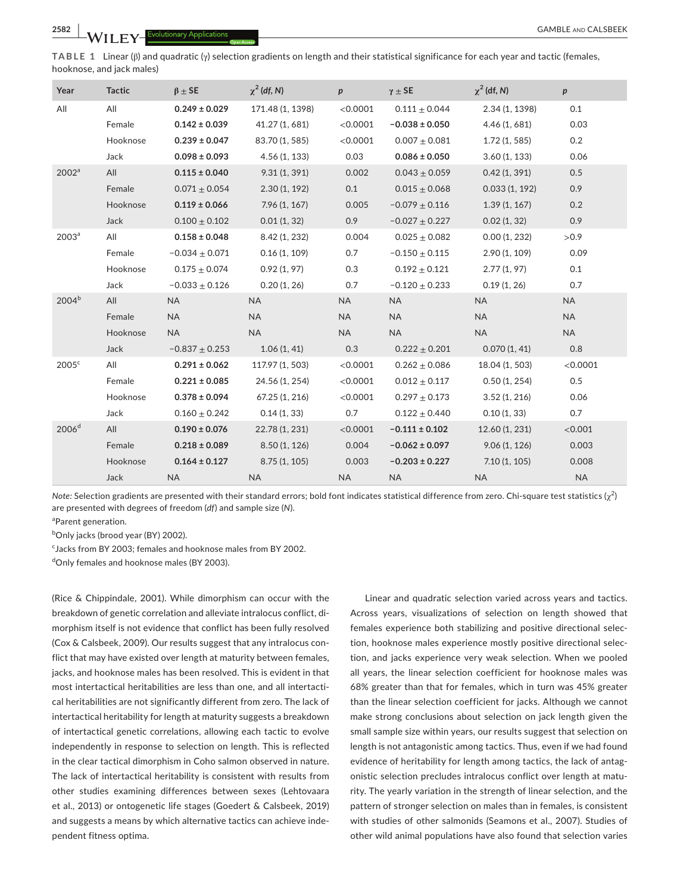**TABLE 1** Linear (β) and quadratic (γ) selection gradients on length and their statistical significance for each year and tactic (females, hooknose, and jack males)

| Year              | <b>Tactic</b> | $\beta \pm$ SE     | $\chi^2$ (df, N) | $\boldsymbol{p}$ | $\gamma \pm$ SE    | $\chi^2$ (df, N) | p         |
|-------------------|---------------|--------------------|------------------|------------------|--------------------|------------------|-----------|
| All               | All           | $0.249 \pm 0.029$  | 171.48 (1, 1398) | < 0.0001         | $0.111 \pm 0.044$  | 2.34 (1, 1398)   | 0.1       |
|                   | Female        | $0.142 \pm 0.039$  | 41.27 (1, 681)   | < 0.0001         | $-0.038 \pm 0.050$ | 4.46 (1, 681)    | 0.03      |
|                   | Hooknose      | $0.239 \pm 0.047$  | 83.70 (1, 585)   | < 0.0001         | $0.007 + 0.081$    | 1.72(1, 585)     | 0.2       |
|                   | Jack          | $0.098 \pm 0.093$  | 4.56(1, 133)     | 0.03             | $0.086 \pm 0.050$  | 3.60(1, 133)     | 0.06      |
| 2002 <sup>a</sup> | All           | $0.115 \pm 0.040$  | 9.31(1, 391)     | 0.002            | $0.043 \pm 0.059$  | 0.42(1, 391)     | 0.5       |
|                   | Female        | $0.071 + 0.054$    | 2.30(1, 192)     | 0.1              | $0.015 \pm 0.068$  | 0.033(1, 192)    | 0.9       |
|                   | Hooknose      | $0.119 \pm 0.066$  | 7.96(1, 167)     | 0.005            | $-0.079 \pm 0.116$ | 1.39(1, 167)     | 0.2       |
|                   | Jack          | $0.100 \pm 0.102$  | 0.01(1, 32)      | 0.9              | $-0.027 \pm 0.227$ | 0.02(1, 32)      | 0.9       |
| 2003 <sup>a</sup> | All           | $0.158 \pm 0.048$  | 8.42 (1, 232)    | 0.004            | $0.025 \pm 0.082$  | 0.00(1, 232)     | >0.9      |
|                   | Female        | $-0.034 + 0.071$   | 0.16(1, 109)     | 0.7              | $-0.150 + 0.115$   | 2.90 (1, 109)    | 0.09      |
|                   | Hooknose      | $0.175 \pm 0.074$  | 0.92(1, 97)      | 0.3              | $0.192 \pm 0.121$  | 2.77(1, 97)      | 0.1       |
|                   | Jack          | $-0.033 \pm 0.126$ | 0.20(1, 26)      | 0.7              | $-0.120 \pm 0.233$ | 0.19(1, 26)      | 0.7       |
| $2004^{b}$        | All           | <b>NA</b>          | <b>NA</b>        | <b>NA</b>        | <b>NA</b>          | <b>NA</b>        | <b>NA</b> |
|                   | Female        | <b>NA</b>          | <b>NA</b>        | <b>NA</b>        | <b>NA</b>          | <b>NA</b>        | <b>NA</b> |
|                   | Hooknose      | <b>NA</b>          | <b>NA</b>        | <b>NA</b>        | <b>NA</b>          | <b>NA</b>        | <b>NA</b> |
|                   | Jack          | $-0.837 + 0.253$   | 1.06(1, 41)      | 0.3              | $0.222 \pm 0.201$  | 0.070(1, 41)     | 0.8       |
| 2005 <sup>c</sup> | All           | $0.291 \pm 0.062$  | 117.97 (1, 503)  | < 0.0001         | $0.262 \pm 0.086$  | 18.04 (1, 503)   | < 0.0001  |
|                   | Female        | $0.221 \pm 0.085$  | 24.56 (1, 254)   | < 0.0001         | $0.012 \pm 0.117$  | 0.50(1, 254)     | 0.5       |
|                   | Hooknose      | $0.378 \pm 0.094$  | 67.25 (1, 216)   | < 0.0001         | $0.297 \pm 0.173$  | 3.52(1, 216)     | 0.06      |
|                   | Jack          | $0.160 \pm 0.242$  | 0.14(1, 33)      | 0.7              | $0.122 \pm 0.440$  | 0.10(1, 33)      | 0.7       |
| 2006 <sup>d</sup> | All           | $0.190 \pm 0.076$  | 22.78 (1, 231)   | < 0.0001         | $-0.111 \pm 0.102$ | 12.60 (1, 231)   | < 0.001   |
|                   | Female        | $0.218 \pm 0.089$  | 8.50(1, 126)     | 0.004            | $-0.062 \pm 0.097$ | 9.06(1, 126)     | 0.003     |
|                   | Hooknose      | $0.164 \pm 0.127$  | 8.75(1, 105)     | 0.003            | $-0.203 \pm 0.227$ | 7.10(1, 105)     | 0.008     |
|                   | Jack          | <b>NA</b>          | <b>NA</b>        | <b>NA</b>        | <b>NA</b>          | <b>NA</b>        | <b>NA</b> |

*Note:* Selection gradients are presented with their standard errors; bold font indicates statistical difference from zero. Chi-square test statistics (χ<sup>2</sup>) are presented with degrees of freedom (*df*) and sample size (*N*).

<sup>a</sup>Parent generation.

<sup>b</sup>Only jacks (brood year (BY) 2002).

<sup>c</sup> Jacks from BY 2003; females and hooknose males from BY 2002.

d Only females and hooknose males (BY 2003).

(Rice & Chippindale, 2001). While dimorphism can occur with the breakdown of genetic correlation and alleviate intralocus conflict, dimorphism itself is not evidence that conflict has been fully resolved (Cox & Calsbeek, 2009). Our results suggest that any intralocus conflict that may have existed over length at maturity between females, jacks, and hooknose males has been resolved. This is evident in that most intertactical heritabilities are less than one, and all intertactical heritabilities are not significantly different from zero. The lack of intertactical heritability for length at maturity suggests a breakdown of intertactical genetic correlations, allowing each tactic to evolve independently in response to selection on length. This is reflected in the clear tactical dimorphism in Coho salmon observed in nature. The lack of intertactical heritability is consistent with results from other studies examining differences between sexes (Lehtovaara et al., 2013) or ontogenetic life stages (Goedert & Calsbeek, 2019) and suggests a means by which alternative tactics can achieve independent fitness optima.

Linear and quadratic selection varied across years and tactics. Across years, visualizations of selection on length showed that females experience both stabilizing and positive directional selection, hooknose males experience mostly positive directional selection, and jacks experience very weak selection. When we pooled all years, the linear selection coefficient for hooknose males was 68% greater than that for females, which in turn was 45% greater than the linear selection coefficient for jacks. Although we cannot make strong conclusions about selection on jack length given the small sample size within years, our results suggest that selection on length is not antagonistic among tactics. Thus, even if we had found evidence of heritability for length among tactics, the lack of antagonistic selection precludes intralocus conflict over length at maturity. The yearly variation in the strength of linear selection, and the pattern of stronger selection on males than in females, is consistent with studies of other salmonids (Seamons et al., 2007). Studies of other wild animal populations have also found that selection varies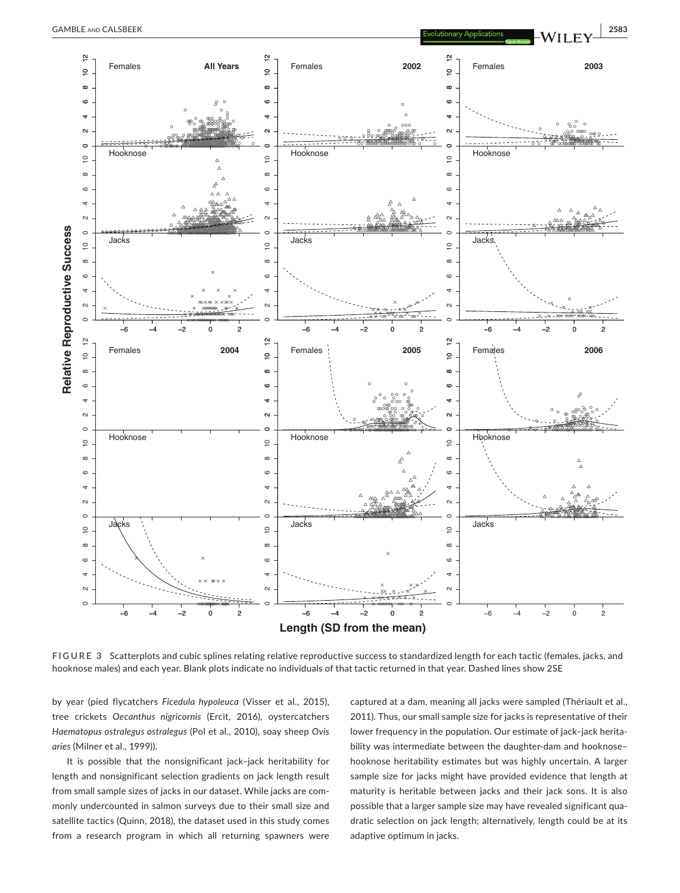

**FIGURE 3** Scatterplots and cubic splines relating relative reproductive success to standardized length for each tactic (females, jacks, and

by year (pied flycatchers *Ficedula hypoleuca* (Visser et al., 2015), tree crickets *Oecanthus nigricornis* (Ercit, 2016), oystercatchers *Haematopus ostralegus ostralegus* (Pol et al., 2010), soay sheep *Ovis aries* (Milner et al., 1999)).

It is possible that the nonsignificant jack–jack heritability for length and nonsignificant selection gradients on jack length result from small sample sizes of jacks in our dataset. While jacks are commonly undercounted in salmon surveys due to their small size and satellite tactics (Quinn, 2018), the dataset used in this study comes from a research program in which all returning spawners were

captured at a dam, meaning all jacks were sampled (Thériault et al., 2011). Thus, our small sample size for jacks is representative of their lower frequency in the population. Our estimate of jack–jack heritability was intermediate between the daughter-dam and hooknose– hooknose heritability estimates but was highly uncertain. A larger sample size for jacks might have provided evidence that length at maturity is heritable between jacks and their jack sons. It is also possible that a larger sample size may have revealed significant quadratic selection on jack length; alternatively, length could be at its adaptive optimum in jacks.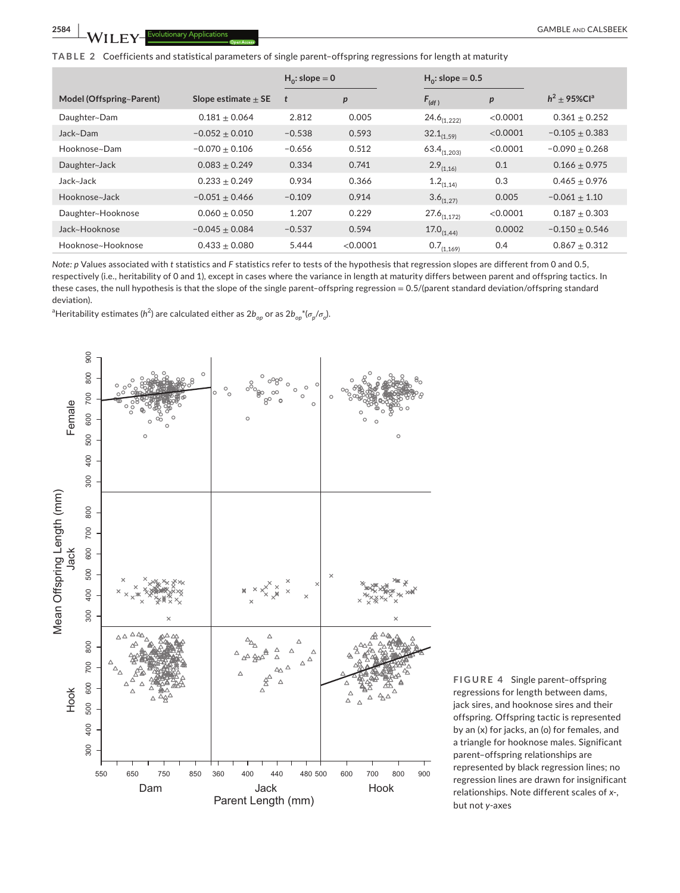**TABLE 2** Coefficients and statistical parameters of single parent–offspring regressions for length at maturity

|                          |                         | $H_0$ : slope = 0 |          | $H_0$ : slope = 0.5 |                  |                            |
|--------------------------|-------------------------|-------------------|----------|---------------------|------------------|----------------------------|
| Model (Offspring~Parent) | Slope estimate $\pm$ SE | t                 | p        | $F_{(df)}$          | $\boldsymbol{p}$ | $h^2$ + 95%Cl <sup>a</sup> |
| Daughter~Dam             | $0.181 + 0.064$         | 2.812             | 0.005    | $24.6_{(1,222)}$    | <0.0001          | $0.361 + 0.252$            |
| Jack~Dam                 | $-0.052 + 0.010$        | $-0.538$          | 0.593    | $32.1_{(1,59)}$     | < 0.0001         | $-0.105 + 0.383$           |
| Hooknose~Dam             | $-0.070 + 0.106$        | $-0.656$          | 0.512    | $63.4_{(1,203)}$    | < 0.0001         | $-0.090 + 0.268$           |
| Daughter~Jack            | $0.083 \pm 0.249$       | 0.334             | 0.741    | $2.9_{(1,16)}$      | 0.1              | $0.166 \pm 0.975$          |
| Jack~Jack                | $0.233 + 0.249$         | 0.934             | 0.366    | $1.2_{(1,14)}$      | 0.3              | $0.465 + 0.976$            |
| Hooknose~Jack            | $-0.051 + 0.466$        | $-0.109$          | 0.914    | $3.6_{(1,27)}$      | 0.005            | $-0.061 + 1.10$            |
| Daughter~Hooknose        | $0.060 + 0.050$         | 1.207             | 0.229    | $27.6_{(1,172)}$    | < 0.0001         | $0.187 + 0.303$            |
| Jack~Hooknose            | $-0.045 \pm 0.084$      | $-0.537$          | 0.594    | $17.0_{(1.44)}$     | 0.0002           | $-0.150 \pm 0.546$         |
| Hooknose~Hooknose        | $0.433 + 0.080$         | 5.444             | < 0.0001 | $0.7_{(1,169)}$     | 0.4              | $0.867 + 0.312$            |

*Note: p* Values associated with *t* statistics and *F* statistics refer to tests of the hypothesis that regression slopes are different from 0 and 0.5, respectively (i.e., heritability of 0 and 1), except in cases where the variance in length at maturity differs between parent and offspring tactics. In these cases, the null hypothesis is that the slope of the single parent–offspring regression = 0.5/(parent standard deviation/offspring standard deviation).

<sup>a</sup>Heritability estimates (h<sup>2</sup>) are calculated either as 2b<sub>op</sub> or as 2b<sub>op</sub>\*(*σ<sub>p</sub>/σ<sub>o</sub>).* 



**FIGURE 4** Single parent–offspring regressions for length between dams, jack sires, and hooknose sires and their offspring. Offspring tactic is represented by an (x) for jacks, an (o) for females, and a triangle for hooknose males. Significant parent–offspring relationships are represented by black regression lines; no regression lines are drawn for insignificant relationships. Note different scales of *x*-, but not *y*-axes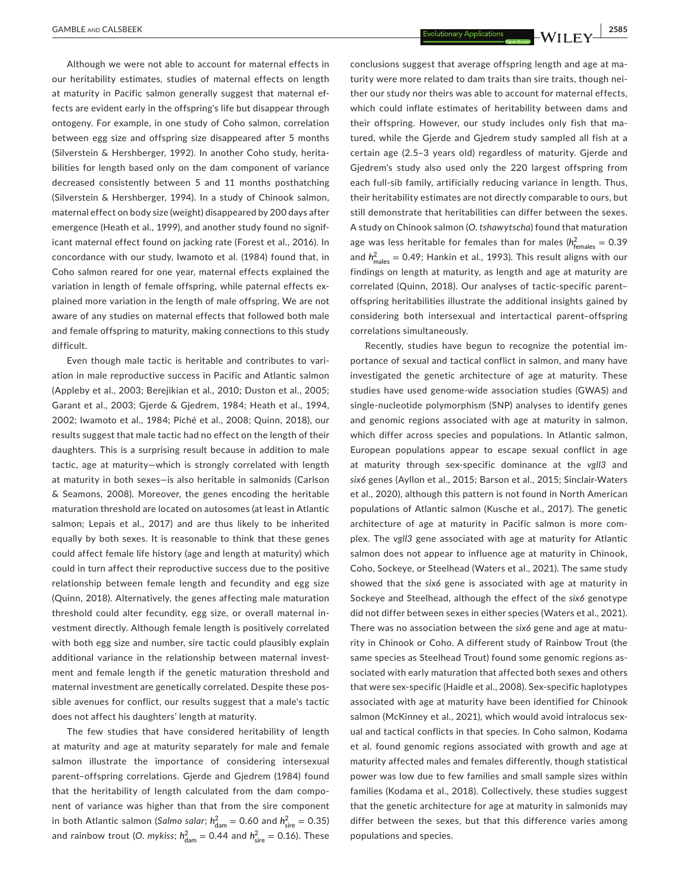Although we were not able to account for maternal effects in our heritability estimates, studies of maternal effects on length at maturity in Pacific salmon generally suggest that maternal effects are evident early in the offspring's life but disappear through ontogeny. For example, in one study of Coho salmon, correlation between egg size and offspring size disappeared after 5 months (Silverstein & Hershberger, 1992). In another Coho study, heritabilities for length based only on the dam component of variance decreased consistently between 5 and 11 months posthatching (Silverstein & Hershberger, 1994). In a study of Chinook salmon, maternal effect on body size (weight) disappeared by 200 days after emergence (Heath et al., 1999), and another study found no significant maternal effect found on jacking rate (Forest et al., 2016). In concordance with our study, Iwamoto et al. (1984) found that, in Coho salmon reared for one year, maternal effects explained the variation in length of female offspring, while paternal effects explained more variation in the length of male offspring. We are not aware of any studies on maternal effects that followed both male and female offspring to maturity, making connections to this study difficult.

Even though male tactic is heritable and contributes to variation in male reproductive success in Pacific and Atlantic salmon (Appleby et al., 2003; Berejikian et al., 2010; Duston et al., 2005; Garant et al., 2003; Gjerde & Gjedrem, 1984; Heath et al., 1994, 2002; Iwamoto et al., 1984; Piché et al., 2008; Quinn, 2018), our results suggest that male tactic had no effect on the length of their daughters. This is a surprising result because in addition to male tactic, age at maturity—which is strongly correlated with length at maturity in both sexes—is also heritable in salmonids (Carlson & Seamons, 2008). Moreover, the genes encoding the heritable maturation threshold are located on autosomes (at least in Atlantic salmon; Lepais et al., 2017) and are thus likely to be inherited equally by both sexes. It is reasonable to think that these genes could affect female life history (age and length at maturity) which could in turn affect their reproductive success due to the positive relationship between female length and fecundity and egg size (Quinn, 2018). Alternatively, the genes affecting male maturation threshold could alter fecundity, egg size, or overall maternal investment directly. Although female length is positively correlated with both egg size and number, sire tactic could plausibly explain additional variance in the relationship between maternal investment and female length if the genetic maturation threshold and maternal investment are genetically correlated. Despite these possible avenues for conflict, our results suggest that a male's tactic does not affect his daughters' length at maturity.

The few studies that have considered heritability of length at maturity and age at maturity separately for male and female salmon illustrate the importance of considering intersexual parent–offspring correlations. Gjerde and Gjedrem (1984) found that the heritability of length calculated from the dam component of variance was higher than that from the sire component in both Atlantic salmon (Salmo salar;  $h_{\text{dam}}^2 = 0.60$  and  $h_{\text{sire}}^2 = 0.35$ ) and rainbow trout (O. mykiss;  $h_{\text{dam}}^2 = 0.44$  and  $h_{\text{sire}}^2 = 0.16$ ). These

conclusions suggest that average offspring length and age at maturity were more related to dam traits than sire traits, though neither our study nor theirs was able to account for maternal effects, which could inflate estimates of heritability between dams and their offspring. However, our study includes only fish that matured, while the Gjerde and Gjedrem study sampled all fish at a certain age (2.5–3 years old) regardless of maturity. Gjerde and Gjedrem's study also used only the 220 largest offspring from each full-sib family, artificially reducing variance in length. Thus, their heritability estimates are not directly comparable to ours, but still demonstrate that heritabilities can differ between the sexes. A study on Chinook salmon (*O*. *tshawytscha*) found that maturation age was less heritable for females than for males (h<sup>2</sup><sub>females</sub> = 0.39 and  $h_{\text{males}}^2 = 0.49$ ; Hankin et al., 1993). This result aligns with our findings on length at maturity, as length and age at maturity are correlated (Quinn, 2018). Our analyses of tactic-specific parent– offspring heritabilities illustrate the additional insights gained by considering both intersexual and intertactical parent–offspring correlations simultaneously.

Recently, studies have begun to recognize the potential importance of sexual and tactical conflict in salmon, and many have investigated the genetic architecture of age at maturity. These studies have used genome-wide association studies (GWAS) and single-nucleotide polymorphism (SNP) analyses to identify genes and genomic regions associated with age at maturity in salmon, which differ across species and populations. In Atlantic salmon, European populations appear to escape sexual conflict in age at maturity through sex-specific dominance at the *vgll3* and *six6* genes (Ayllon et al., 2015; Barson et al., 2015; Sinclair-Waters et al., 2020), although this pattern is not found in North American populations of Atlantic salmon (Kusche et al., 2017). The genetic architecture of age at maturity in Pacific salmon is more complex. The *vgll3* gene associated with age at maturity for Atlantic salmon does not appear to influence age at maturity in Chinook, Coho, Sockeye, or Steelhead (Waters et al., 2021). The same study showed that the *six6* gene is associated with age at maturity in Sockeye and Steelhead, although the effect of the *six6* genotype did not differ between sexes in either species (Waters et al., 2021). There was no association between the *six6* gene and age at maturity in Chinook or Coho. A different study of Rainbow Trout (the same species as Steelhead Trout) found some genomic regions associated with early maturation that affected both sexes and others that were sex-specific (Haidle et al., 2008). Sex-specific haplotypes associated with age at maturity have been identified for Chinook salmon (McKinney et al., 2021), which would avoid intralocus sexual and tactical conflicts in that species. In Coho salmon, Kodama et al. found genomic regions associated with growth and age at maturity affected males and females differently, though statistical power was low due to few families and small sample sizes within families (Kodama et al., 2018). Collectively, these studies suggest that the genetic architecture for age at maturity in salmonids may differ between the sexes, but that this difference varies among populations and species.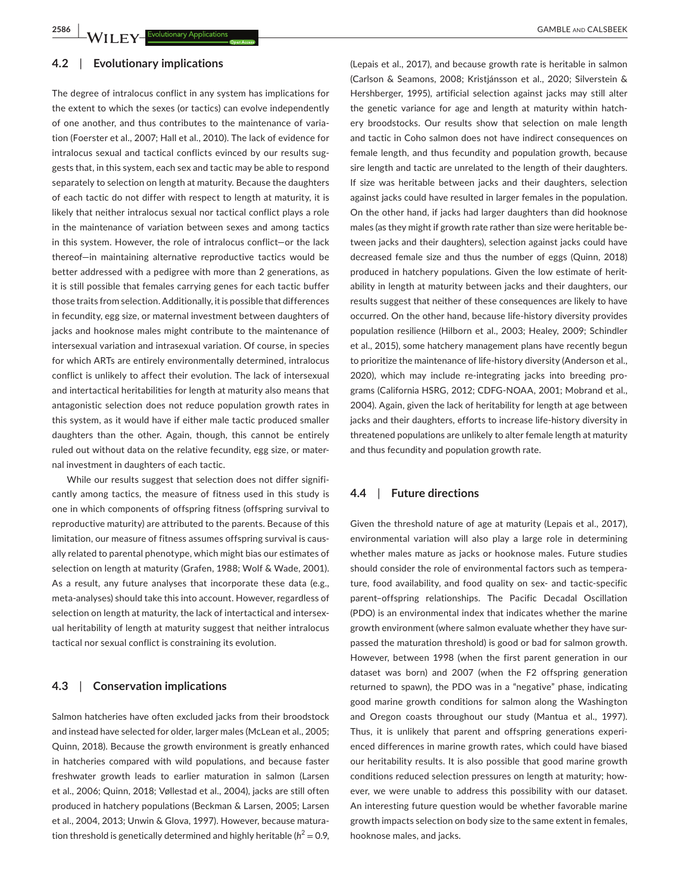#### **4.2**  | **Evolutionary implications**

The degree of intralocus conflict in any system has implications for the extent to which the sexes (or tactics) can evolve independently of one another, and thus contributes to the maintenance of variation (Foerster et al., 2007; Hall et al., 2010). The lack of evidence for intralocus sexual and tactical conflicts evinced by our results suggests that, in this system, each sex and tactic may be able to respond separately to selection on length at maturity. Because the daughters of each tactic do not differ with respect to length at maturity, it is likely that neither intralocus sexual nor tactical conflict plays a role in the maintenance of variation between sexes and among tactics in this system. However, the role of intralocus conflict—or the lack thereof—in maintaining alternative reproductive tactics would be better addressed with a pedigree with more than 2 generations, as it is still possible that females carrying genes for each tactic buffer those traits from selection. Additionally, it is possible that differences in fecundity, egg size, or maternal investment between daughters of jacks and hooknose males might contribute to the maintenance of intersexual variation and intrasexual variation. Of course, in species for which ARTs are entirely environmentally determined, intralocus conflict is unlikely to affect their evolution. The lack of intersexual and intertactical heritabilities for length at maturity also means that antagonistic selection does not reduce population growth rates in this system, as it would have if either male tactic produced smaller daughters than the other. Again, though, this cannot be entirely ruled out without data on the relative fecundity, egg size, or maternal investment in daughters of each tactic.

While our results suggest that selection does not differ significantly among tactics, the measure of fitness used in this study is one in which components of offspring fitness (offspring survival to reproductive maturity) are attributed to the parents. Because of this limitation, our measure of fitness assumes offspring survival is causally related to parental phenotype, which might bias our estimates of selection on length at maturity (Grafen, 1988; Wolf & Wade, 2001). As a result, any future analyses that incorporate these data (e.g., meta-analyses) should take this into account. However, regardless of selection on length at maturity, the lack of intertactical and intersexual heritability of length at maturity suggest that neither intralocus tactical nor sexual conflict is constraining its evolution.

### **4.3**  | **Conservation implications**

Salmon hatcheries have often excluded jacks from their broodstock and instead have selected for older, larger males (McLean et al., 2005; Quinn, 2018). Because the growth environment is greatly enhanced in hatcheries compared with wild populations, and because faster freshwater growth leads to earlier maturation in salmon (Larsen et al., 2006; Quinn, 2018; Vøllestad et al., 2004), jacks are still often produced in hatchery populations (Beckman & Larsen, 2005; Larsen et al., 2004, 2013; Unwin & Glova, 1997). However, because maturation threshold is genetically determined and highly heritable ( $h^2 = 0.9$ ,

(Lepais et al., 2017), and because growth rate is heritable in salmon (Carlson & Seamons, 2008; Kristjánsson et al., 2020; Silverstein & Hershberger, 1995), artificial selection against jacks may still alter the genetic variance for age and length at maturity within hatchery broodstocks. Our results show that selection on male length and tactic in Coho salmon does not have indirect consequences on female length, and thus fecundity and population growth, because sire length and tactic are unrelated to the length of their daughters. If size was heritable between jacks and their daughters, selection against jacks could have resulted in larger females in the population. On the other hand, if jacks had larger daughters than did hooknose males (as they might if growth rate rather than size were heritable between jacks and their daughters), selection against jacks could have decreased female size and thus the number of eggs (Quinn, 2018) produced in hatchery populations. Given the low estimate of heritability in length at maturity between jacks and their daughters, our results suggest that neither of these consequences are likely to have occurred. On the other hand, because life-history diversity provides population resilience (Hilborn et al., 2003; Healey, 2009; Schindler et al., 2015), some hatchery management plans have recently begun to prioritize the maintenance of life-history diversity (Anderson et al., 2020), which may include re-integrating jacks into breeding programs (California HSRG, 2012; CDFG-NOAA, 2001; Mobrand et al., 2004). Again, given the lack of heritability for length at age between jacks and their daughters, efforts to increase life-history diversity in threatened populations are unlikely to alter female length at maturity and thus fecundity and population growth rate.

## **4.4**  | **Future directions**

Given the threshold nature of age at maturity (Lepais et al., 2017), environmental variation will also play a large role in determining whether males mature as jacks or hooknose males. Future studies should consider the role of environmental factors such as temperature, food availability, and food quality on sex- and tactic-specific parent–offspring relationships. The Pacific Decadal Oscillation (PDO) is an environmental index that indicates whether the marine growth environment (where salmon evaluate whether they have surpassed the maturation threshold) is good or bad for salmon growth. However, between 1998 (when the first parent generation in our dataset was born) and 2007 (when the F2 offspring generation returned to spawn), the PDO was in a "negative" phase, indicating good marine growth conditions for salmon along the Washington and Oregon coasts throughout our study (Mantua et al., 1997). Thus, it is unlikely that parent and offspring generations experienced differences in marine growth rates, which could have biased our heritability results. It is also possible that good marine growth conditions reduced selection pressures on length at maturity; however, we were unable to address this possibility with our dataset. An interesting future question would be whether favorable marine growth impacts selection on body size to the same extent in females, hooknose males, and jacks.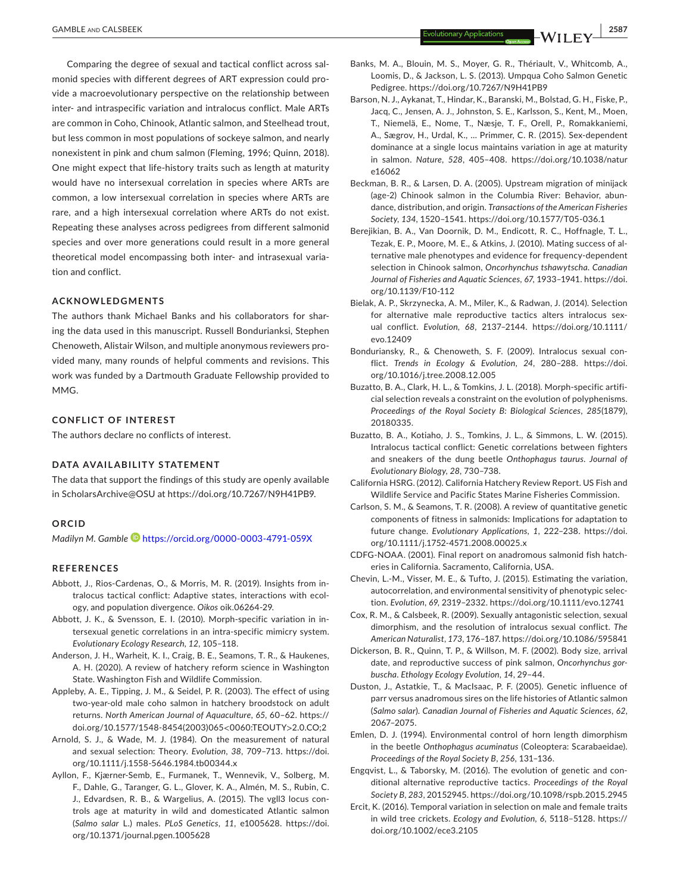Comparing the degree of sexual and tactical conflict across salmonid species with different degrees of ART expression could provide a macroevolutionary perspective on the relationship between inter- and intraspecific variation and intralocus conflict. Male ARTs are common in Coho, Chinook, Atlantic salmon, and Steelhead trout, but less common in most populations of sockeye salmon, and nearly nonexistent in pink and chum salmon (Fleming, 1996; Quinn, 2018). One might expect that life-history traits such as length at maturity would have no intersexual correlation in species where ARTs are common, a low intersexual correlation in species where ARTs are rare, and a high intersexual correlation where ARTs do not exist. Repeating these analyses across pedigrees from different salmonid species and over more generations could result in a more general theoretical model encompassing both inter- and intrasexual variation and conflict.

#### **ACKNOWLEDGMENTS**

The authors thank Michael Banks and his collaborators for sharing the data used in this manuscript. Russell Bondurianksi, Stephen Chenoweth, Alistair Wilson, and multiple anonymous reviewers provided many, many rounds of helpful comments and revisions. This work was funded by a Dartmouth Graduate Fellowship provided to MMG.

#### **CONFLICT OF INTEREST**

The authors declare no conflicts of interest.

### **DATA AVAILABILITY STATEMENT**

The data that support the findings of this study are openly available in ScholarsArchive@OSU at [https://doi.org/10.7267/N9H41PB9.](https://doi.org/10.7267/N9H41PB9)

#### **ORCID**

*Madilyn M. Gambl[e](https://orcid.org/0000-0003-4791-059X)* <https://orcid.org/0000-0003-4791-059X>

#### **REFERENCES**

- Abbott, J., Rios-Cardenas, O., & Morris, M. R. (2019). Insights from intralocus tactical conflict: Adaptive states, interactions with ecology, and population divergence. *Oikos* oik.06264-29.
- Abbott, J. K., & Svensson, E. I. (2010). Morph-specific variation in intersexual genetic correlations in an intra-specific mimicry system. *Evolutionary Ecology Research*, *12*, 105–118.
- Anderson, J. H., Warheit, K. I., Craig, B. E., Seamons, T. R., & Haukenes, A. H. (2020). A review of hatchery reform science in Washington State. Washington Fish and Wildlife Commission.
- Appleby, A. E., Tipping, J. M., & Seidel, P. R. (2003). The effect of using two-year-old male coho salmon in hatchery broodstock on adult returns. *North American Journal of Aquaculture*, *65*, 60–62. [https://](https://doi.org/10.1577/1548-8454(2003)065%3C0060:TEOUTY%3E2.0.CO;2) [doi.org/10.1577/1548-8454\(2003\)065](https://doi.org/10.1577/1548-8454(2003)065%3C0060:TEOUTY%3E2.0.CO;2)<0060:TEOUTY>2.0.CO;2
- Arnold, S. J., & Wade, M. J. (1984). On the measurement of natural and sexual selection: Theory. *Evolution*, *38*, 709–713. [https://doi.](https://doi.org/10.1111/j.1558-5646.1984.tb00344.x) [org/10.1111/j.1558-5646.1984.tb00344.x](https://doi.org/10.1111/j.1558-5646.1984.tb00344.x)
- Ayllon, F., Kjærner-Semb, E., Furmanek, T., Wennevik, V., Solberg, M. F., Dahle, G., Taranger, G. L., Glover, K. A., Almén, M. S., Rubin, C. J., Edvardsen, R. B., & Wargelius, A. (2015). The vgll3 locus controls age at maturity in wild and domesticated Atlantic salmon (*Salmo salar* L.) males. *PLoS Genetics*, *11*, e1005628. [https://doi.](https://doi.org/10.1371/journal.pgen.1005628) [org/10.1371/journal.pgen.1005628](https://doi.org/10.1371/journal.pgen.1005628)

Banks, M. A., Blouin, M. S., Moyer, G. R., Thériault, V., Whitcomb, A.,

- Loomis, D., & Jackson, L. S. (2013). Umpqua Coho Salmon Genetic Pedigree.<https://doi.org/10.7267/N9H41PB9>
- Barson, N. J., Aykanat, T., Hindar, K., Baranski, M., Bolstad, G. H., Fiske, P., Jacq, C., Jensen, A. J., Johnston, S. E., Karlsson, S., Kent, M., Moen, T., Niemelä, E., Nome, T., Næsje, T. F., Orell, P., Romakkaniemi, A., Sægrov, H., Urdal, K., … Primmer, C. R. (2015). Sex-dependent dominance at a single locus maintains variation in age at maturity in salmon. *Nature*, *528*, 405–408. [https://doi.org/10.1038/natur](https://doi.org/10.1038/nature16062) [e16062](https://doi.org/10.1038/nature16062)
- Beckman, B. R., & Larsen, D. A. (2005). Upstream migration of minijack (age-2) Chinook salmon in the Columbia River: Behavior, abundance, distribution, and origin. *Transactions of the American Fisheries Society*, *134*, 1520–1541.<https://doi.org/10.1577/T05-036.1>
- Berejikian, B. A., Van Doornik, D. M., Endicott, R. C., Hoffnagle, T. L., Tezak, E. P., Moore, M. E., & Atkins, J. (2010). Mating success of alternative male phenotypes and evidence for frequency-dependent selection in Chinook salmon, *Oncorhynchus tshawytscha*. *Canadian Journal of Fisheries and Aquatic Sciences*, *67*, 1933–1941. [https://doi.](https://doi.org/10.1139/F10-112) [org/10.1139/F10-112](https://doi.org/10.1139/F10-112)
- Bielak, A. P., Skrzynecka, A. M., Miler, K., & Radwan, J. (2014). Selection for alternative male reproductive tactics alters intralocus sexual conflict. *Evolution*, *68*, 2137–2144. [https://doi.org/10.1111/](https://doi.org/10.1111/evo.12409) [evo.12409](https://doi.org/10.1111/evo.12409)
- Bonduriansky, R., & Chenoweth, S. F. (2009). Intralocus sexual conflict. *Trends in Ecology & Evolution*, *24*, 280–288. [https://doi.](https://doi.org/10.1016/j.tree.2008.12.005) [org/10.1016/j.tree.2008.12.005](https://doi.org/10.1016/j.tree.2008.12.005)
- Buzatto, B. A., Clark, H. L., & Tomkins, J. L. (2018). Morph-specific artificial selection reveals a constraint on the evolution of polyphenisms. *Proceedings of the Royal Society B: Biological Sciences*, *285*(1879), 20180335.
- Buzatto, B. A., Kotiaho, J. S., Tomkins, J. L., & Simmons, L. W. (2015). Intralocus tactical conflict: Genetic correlations between fighters and sneakers of the dung beetle *Onthophagus taurus*. *Journal of Evolutionary Biology*, *28*, 730–738.
- California HSRG. (2012). California Hatchery Review Report. US Fish and Wildlife Service and Pacific States Marine Fisheries Commission.
- Carlson, S. M., & Seamons, T. R. (2008). A review of quantitative genetic components of fitness in salmonids: Implications for adaptation to future change. *Evolutionary Applications*, *1*, 222–238. [https://doi.](https://doi.org/10.1111/j.1752-4571.2008.00025.x) [org/10.1111/j.1752-4571.2008.00025.x](https://doi.org/10.1111/j.1752-4571.2008.00025.x)
- CDFG-NOAA. (2001). Final report on anadromous salmonid fish hatcheries in California. Sacramento, California, USA.
- Chevin, L.-M., Visser, M. E., & Tufto, J. (2015). Estimating the variation, autocorrelation, and environmental sensitivity of phenotypic selection. *Evolution*, *69*, 2319–2332.<https://doi.org/10.1111/evo.12741>
- Cox, R. M., & Calsbeek, R. (2009). Sexually antagonistic selection, sexual dimorphism, and the resolution of intralocus sexual conflict. *The American Naturalist*, *173*, 176–187.<https://doi.org/10.1086/595841>
- Dickerson, B. R., Quinn, T. P., & Willson, M. F. (2002). Body size, arrival date, and reproductive success of pink salmon, *Oncorhynchus gorbuscha*. *Ethology Ecology Evolution*, *14*, 29–44.
- Duston, J., Astatkie, T., & MacIsaac, P. F. (2005). Genetic influence of parr versus anadromous sires on the life histories of Atlantic salmon (*Salmo salar*). *Canadian Journal of Fisheries and Aquatic Sciences*, *62*, 2067–2075.
- Emlen, D. J. (1994). Environmental control of horn length dimorphism in the beetle *Onthophagus acuminatus* (Coleoptera: Scarabaeidae). *Proceedings of the Royal Society B*, *256*, 131–136.
- Engqvist, L., & Taborsky, M. (2016). The evolution of genetic and conditional alternative reproductive tactics. *Proceedings of the Royal Society B*, *283*, 20152945.<https://doi.org/10.1098/rspb.2015.2945>
- Ercit, K. (2016). Temporal variation in selection on male and female traits in wild tree crickets. *Ecology and Evolution*, *6*, 5118–5128. [https://](https://doi.org/10.1002/ece3.2105) [doi.org/10.1002/ece3.2105](https://doi.org/10.1002/ece3.2105)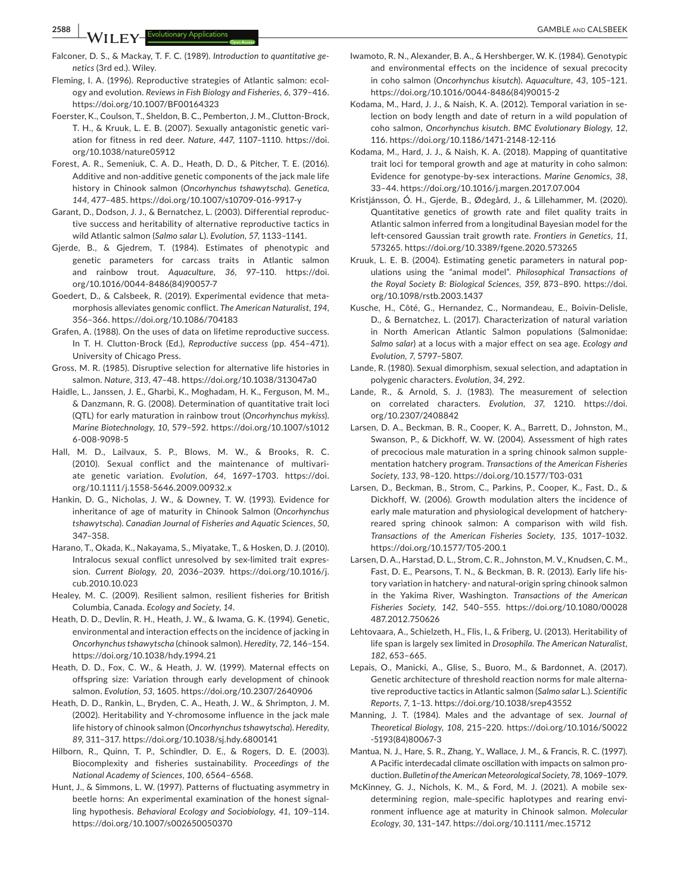- Falconer, D. S., & Mackay, T. F. C. (1989). *Introduction to quantitative genetics* (3rd ed.). Wiley.
- Fleming, I. A. (1996). Reproductive strategies of Atlantic salmon: ecology and evolution. *Reviews in Fish Biology and Fisheries*, *6*, 379–416. <https://doi.org/10.1007/BF00164323>
- Foerster, K., Coulson, T., Sheldon, B. C., Pemberton, J. M., Clutton-Brock, T. H., & Kruuk, L. E. B. (2007). Sexually antagonistic genetic variation for fitness in red deer. *Nature*, *447*, 1107–1110. [https://doi.](https://doi.org/10.1038/nature05912) [org/10.1038/nature05912](https://doi.org/10.1038/nature05912)
- Forest, A. R., Semeniuk, C. A. D., Heath, D. D., & Pitcher, T. E. (2016). Additive and non-additive genetic components of the jack male life history in Chinook salmon (*Oncorhynchus tshawytscha*). *Genetica*, *144*, 477–485.<https://doi.org/10.1007/s10709-016-9917-y>
- Garant, D., Dodson, J. J., & Bernatchez, L. (2003). Differential reproductive success and heritability of alternative reproductive tactics in wild Atlantic salmon (*Salmo salar* L). *Evolution*, *57*, 1133–1141.
- Gjerde, B., & Gjedrem, T. (1984). Estimates of phenotypic and genetic parameters for carcass traits in Atlantic salmon and rainbow trout. *Aquaculture*, *36*, 97–110. [https://doi.](https://doi.org/10.1016/0044-8486(84)90057-7) [org/10.1016/0044-8486\(84\)90057-7](https://doi.org/10.1016/0044-8486(84)90057-7)
- Goedert, D., & Calsbeek, R. (2019). Experimental evidence that metamorphosis alleviates genomic conflict. *The American Naturalist*, *194*, 356–366.<https://doi.org/10.1086/704183>
- Grafen, A. (1988). On the uses of data on lifetime reproductive success. In T. H. Clutton-Brock (Ed.), *Reproductive success* (pp. 454–471). University of Chicago Press.
- Gross, M. R. (1985). Disruptive selection for alternative life histories in salmon. *Nature*, *313*, 47–48.<https://doi.org/10.1038/313047a0>
- Haidle, L., Janssen, J. E., Gharbi, K., Moghadam, H. K., Ferguson, M. M., & Danzmann, R. G. (2008). Determination of quantitative trait loci (QTL) for early maturation in rainbow trout (*Oncorhynchus mykiss*). *Marine Biotechnology*, *10*, 579–592. [https://doi.org/10.1007/s1012](https://doi.org/10.1007/s10126-008-9098-5) [6-008-9098-5](https://doi.org/10.1007/s10126-008-9098-5)
- Hall, M. D., Lailvaux, S. P., Blows, M. W., & Brooks, R. C. (2010). Sexual conflict and the maintenance of multivariate genetic variation. *Evolution*, *64*, 1697–1703. [https://doi.](https://doi.org/10.1111/j.1558-5646.2009.00932.x) [org/10.1111/j.1558-5646.2009.00932.x](https://doi.org/10.1111/j.1558-5646.2009.00932.x)
- Hankin, D. G., Nicholas, J. W., & Downey, T. W. (1993). Evidence for inheritance of age of maturity in Chinook Salmon (*Oncorhynchus tshawytscha*). *Canadian Journal of Fisheries and Aquatic Sciences*, *50*, 347–358.
- Harano, T., Okada, K., Nakayama, S., Miyatake, T., & Hosken, D. J. (2010). Intralocus sexual conflict unresolved by sex-limited trait expression. *Current Biology*, *20*, 2036–2039. [https://doi.org/10.1016/j.](https://doi.org/10.1016/j.cub.2010.10.023) [cub.2010.10.023](https://doi.org/10.1016/j.cub.2010.10.023)
- Healey, M. C. (2009). Resilient salmon, resilient fisheries for British Columbia, Canada. *Ecology and Society*, *14*.
- Heath, D. D., Devlin, R. H., Heath, J. W., & Iwama, G. K. (1994). Genetic, environmental and interaction effects on the incidence of jacking in *Oncorhynchus tshawytscha* (chinook salmon). *Heredity*, *72*, 146–154. <https://doi.org/10.1038/hdy.1994.21>
- Heath, D. D., Fox, C. W., & Heath, J. W. (1999). Maternal effects on offspring size: Variation through early development of chinook salmon. *Evolution*, *53*, 1605. <https://doi.org/10.2307/2640906>
- Heath, D. D., Rankin, L., Bryden, C. A., Heath, J. W., & Shrimpton, J. M. (2002). Heritability and Y-chromosome influence in the jack male life history of chinook salmon (*Oncorhynchus tshawytscha*). *Heredity*, *89*, 311–317. <https://doi.org/10.1038/sj.hdy.6800141>
- Hilborn, R., Quinn, T. P., Schindler, D. E., & Rogers, D. E. (2003). Biocomplexity and fisheries sustainability. *Proceedings of the National Academy of Sciences*, *100*, 6564–6568.
- Hunt, J., & Simmons, L. W. (1997). Patterns of fluctuating asymmetry in beetle horns: An experimental examination of the honest signalling hypothesis. *Behavioral Ecology and Sociobiology*, *41*, 109–114. <https://doi.org/10.1007/s002650050370>
- Iwamoto, R. N., Alexander, B. A., & Hershberger, W. K. (1984). Genotypic and environmental effects on the incidence of sexual precocity in coho salmon (*Oncorhynchus kisutch*). *Aquaculture*, *43*, 105–121. [https://doi.org/10.1016/0044-8486\(84\)90015-2](https://doi.org/10.1016/0044-8486(84)90015-2)
- Kodama, M., Hard, J. J., & Naish, K. A. (2012). Temporal variation in selection on body length and date of return in a wild population of coho salmon, *Oncorhynchus kisutch*. *BMC Evolutionary Biology*, *12*, 116.<https://doi.org/10.1186/1471-2148-12-116>
- Kodama, M., Hard, J. J., & Naish, K. A. (2018). Mapping of quantitative trait loci for temporal growth and age at maturity in coho salmon: Evidence for genotype-by-sex interactions. *Marine Genomics*, *38*, 33–44. <https://doi.org/10.1016/j.margen.2017.07.004>
- Kristjánsson, Ó. H., Gjerde, B., Ødegård, J., & Lillehammer, M. (2020). Quantitative genetics of growth rate and filet quality traits in Atlantic salmon inferred from a longitudinal Bayesian model for the left-censored Gaussian trait growth rate. *Frontiers in Genetics*, *11*, 573265. <https://doi.org/10.3389/fgene.2020.573265>
- Kruuk, L. E. B. (2004). Estimating genetic parameters in natural populations using the "animal model". *Philosophical Transactions of the Royal Society B: Biological Sciences*, *359*, 873–890. [https://doi.](https://doi.org/10.1098/rstb.2003.1437) [org/10.1098/rstb.2003.1437](https://doi.org/10.1098/rstb.2003.1437)
- Kusche, H., Côté, G., Hernandez, C., Normandeau, E., Boivin-Delisle, D., & Bernatchez, L. (2017). Characterization of natural variation in North American Atlantic Salmon populations (Salmonidae: *Salmo salar*) at a locus with a major effect on sea age. *Ecology and Evolution*, *7*, 5797–5807.
- Lande, R. (1980). Sexual dimorphism, sexual selection, and adaptation in polygenic characters. *Evolution*, *34*, 292.
- Lande, R., & Arnold, S. J. (1983). The measurement of selection on correlated characters. *Evolution*, *37*, 1210. [https://doi.](https://doi.org/10.2307/2408842) [org/10.2307/2408842](https://doi.org/10.2307/2408842)
- Larsen, D. A., Beckman, B. R., Cooper, K. A., Barrett, D., Johnston, M., Swanson, P., & Dickhoff, W. W. (2004). Assessment of high rates of precocious male maturation in a spring chinook salmon supplementation hatchery program. *Transactions of the American Fisheries Society*, *133*, 98–120.<https://doi.org/10.1577/T03-031>
- Larsen, D., Beckman, B., Strom, C., Parkins, P., Cooper, K., Fast, D., & Dickhoff, W. (2006). Growth modulation alters the incidence of early male maturation and physiological development of hatcheryreared spring chinook salmon: A comparison with wild fish. *Transactions of the American Fisheries Society*, *135*, 1017–1032. <https://doi.org/10.1577/T05-200.1>
- Larsen, D. A., Harstad, D. L., Strom, C. R., Johnston, M. V., Knudsen, C. M., Fast, D. E., Pearsons, T. N., & Beckman, B. R. (2013). Early life history variation in hatchery- and natural-origin spring chinook salmon in the Yakima River, Washington. *Transactions of the American Fisheries Society*, *142*, 540–555. [https://doi.org/10.1080/00028](https://doi.org/10.1080/00028487.2012.750626) [487.2012.750626](https://doi.org/10.1080/00028487.2012.750626)
- Lehtovaara, A., Schielzeth, H., Flis, I., & Friberg, U. (2013). Heritability of life span is largely sex limited in *Drosophila*. *The American Naturalist*, *182*, 653–665.
- Lepais, O., Manicki, A., Glise, S., Buoro, M., & Bardonnet, A. (2017). Genetic architecture of threshold reaction norms for male alternative reproductive tactics in Atlantic salmon (*Salmo salar* L.). *Scientific Reports*, *7*, 1–13. <https://doi.org/10.1038/srep43552>
- Manning, J. T. (1984). Males and the advantage of sex. *Journal of Theoretical Biology*, *108*, 215–220. [https://doi.org/10.1016/S0022](https://doi.org/10.1016/S0022-5193(84)80067-3) [-5193\(84\)80067-3](https://doi.org/10.1016/S0022-5193(84)80067-3)
- Mantua, N. J., Hare, S. R., Zhang, Y., Wallace, J. M., & Francis, R. C. (1997). A Pacific interdecadal climate oscillation with impacts on salmon production. *Bulletin of the American Meteorological Society*, *78*, 1069–1079.
- McKinney, G. J., Nichols, K. M., & Ford, M. J. (2021). A mobile sexdetermining region, male-specific haplotypes and rearing environment influence age at maturity in Chinook salmon. *Molecular Ecology*, *30*, 131–147.<https://doi.org/10.1111/mec.15712>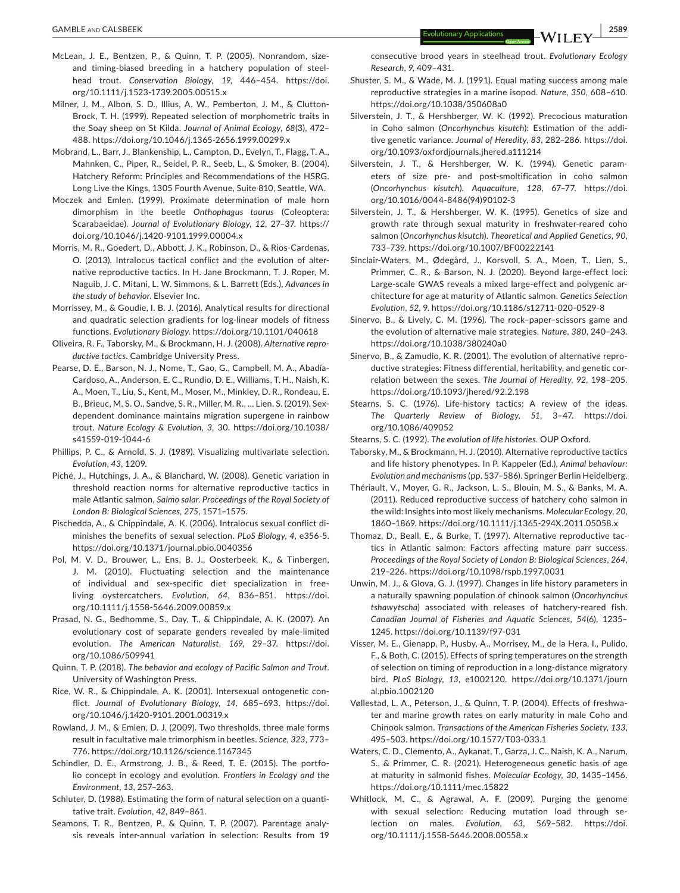- McLean, J. E., Bentzen, P., & Quinn, T. P. (2005). Nonrandom, sizeand timing-biased breeding in a hatchery population of steelhead trout. *Conservation Biology*, *19*, 446–454. [https://doi.](https://doi.org/10.1111/j.1523-1739.2005.00515.x) [org/10.1111/j.1523-1739.2005.00515.x](https://doi.org/10.1111/j.1523-1739.2005.00515.x)
- Milner, J. M., Albon, S. D., Illius, A. W., Pemberton, J. M., & Clutton-Brock, T. H. (1999). Repeated selection of morphometric traits in the Soay sheep on St Kilda. *Journal of Animal Ecology*, *68*(3), 472– 488.<https://doi.org/10.1046/j.1365-2656.1999.00299.x>
- Mobrand, L., Barr, J., Blankenship, L., Campton, D., Evelyn, T., Flagg, T. A., Mahnken, C., Piper, R., Seidel, P. R., Seeb, L., & Smoker, B. (2004). Hatchery Reform: Principles and Recommendations of the HSRG. Long Live the Kings, 1305 Fourth Avenue, Suite 810, Seattle, WA.
- Moczek and Emlen. (1999). Proximate determination of male horn dimorphism in the beetle *Onthophagus taurus* (Coleoptera: Scarabaeidae). *Journal of Evolutionary Biology*, *12*, 27–37. [https://](https://doi.org/10.1046/j.1420-9101.1999.00004.x) [doi.org/10.1046/j.1420-9101.1999.00004.x](https://doi.org/10.1046/j.1420-9101.1999.00004.x)
- Morris, M. R., Goedert, D., Abbott, J. K., Robinson, D., & Rios-Cardenas, O. (2013). Intralocus tactical conflict and the evolution of alternative reproductive tactics. In H. Jane Brockmann, T. J. Roper, M. Naguib, J. C. Mitani, L. W. Simmons, & L. Barrett (Eds.), *Advances in the study of behavior*. Elsevier Inc.
- Morrissey, M., & Goudie, I. B. J. (2016). Analytical results for directional and quadratic selection gradients for log-linear models of fitness functions. *Evolutionary Biology*. <https://doi.org/10.1101/040618>
- Oliveira, R. F., Taborsky, M., & Brockmann, H. J. (2008). *Alternative reproductive tactics*. Cambridge University Press.
- Pearse, D. E., Barson, N. J., Nome, T., Gao, G., Campbell, M. A., Abadía-Cardoso, A., Anderson, E. C., Rundio, D. E., Williams, T. H., Naish, K. A., Moen, T., Liu, S., Kent, M., Moser, M., Minkley, D. R., Rondeau, E. B., Brieuc, M. S. O., Sandve, S. R., Miller, M. R., … Lien, S. (2019). Sexdependent dominance maintains migration supergene in rainbow trout. *Nature Ecology & Evolution*, *3*, 30. [https://doi.org/10.1038/](https://doi.org/10.1038/s41559-019-1044-6) [s41559-019-1044-6](https://doi.org/10.1038/s41559-019-1044-6)
- Phillips, P. C., & Arnold, S. J. (1989). Visualizing multivariate selection. *Evolution*, *43*, 1209.
- Piché, J., Hutchings, J. A., & Blanchard, W. (2008). Genetic variation in threshold reaction norms for alternative reproductive tactics in male Atlantic salmon, *Salmo salar*. *Proceedings of the Royal Society of London B: Biological Sciences*, *275*, 1571–1575.
- Pischedda, A., & Chippindale, A. K. (2006). Intralocus sexual conflict diminishes the benefits of sexual selection. *PLoS Biology*, *4*, e356-5. <https://doi.org/10.1371/journal.pbio.0040356>
- Pol, M. V. D., Brouwer, L., Ens, B. J., Oosterbeek, K., & Tinbergen, J. M. (2010). Fluctuating selection and the maintenance of individual and sex-specific diet specialization in freeliving oystercatchers. *Evolution*, *64*, 836–851. [https://doi.](https://doi.org/10.1111/j.1558-5646.2009.00859.x) [org/10.1111/j.1558-5646.2009.00859.x](https://doi.org/10.1111/j.1558-5646.2009.00859.x)
- Prasad, N. G., Bedhomme, S., Day, T., & Chippindale, A. K. (2007). An evolutionary cost of separate genders revealed by male-limited evolution. *The American Naturalist*, *169*, 29–37. [https://doi.](https://doi.org/10.1086/509941) [org/10.1086/509941](https://doi.org/10.1086/509941)
- Quinn, T. P. (2018). *The behavior and ecology of Pacific Salmon and Trout*. University of Washington Press.
- Rice, W. R., & Chippindale, A. K. (2001). Intersexual ontogenetic conflict. *Journal of Evolutionary Biology*, *14*, 685–693. [https://doi.](https://doi.org/10.1046/j.1420-9101.2001.00319.x) [org/10.1046/j.1420-9101.2001.00319.x](https://doi.org/10.1046/j.1420-9101.2001.00319.x)
- Rowland, J. M., & Emlen, D. J. (2009). Two thresholds, three male forms result in facultative male trimorphism in beetles. *Science*, *323*, 773– 776.<https://doi.org/10.1126/science.1167345>
- Schindler, D. E., Armstrong, J. B., & Reed, T. E. (2015). The portfolio concept in ecology and evolution. *Frontiers in Ecology and the Environment*, *13*, 257–263.
- Schluter, D. (1988). Estimating the form of natural selection on a quantitative trait. *Evolution*, *42*, 849–861.
- Seamons, T. R., Bentzen, P., & Quinn, T. P. (2007). Parentage analysis reveals inter-annual variation in selection: Results from 19

consecutive brood years in steelhead trout. *Evolutionary Ecology Research*, *9*, 409–431.

- Shuster, S. M., & Wade, M. J. (1991). Equal mating success among male reproductive strategies in a marine isopod. *Nature*, *350*, 608–610. <https://doi.org/10.1038/350608a0>
- Silverstein, J. T., & Hershberger, W. K. (1992). Precocious maturation in Coho salmon (*Oncorhynchus kisutch*): Estimation of the additive genetic variance. *Journal of Heredity*, *83*, 282–286. [https://doi.](https://doi.org/10.1093/oxfordjournals.jhered.a111214) [org/10.1093/oxfordjournals.jhered.a111214](https://doi.org/10.1093/oxfordjournals.jhered.a111214)
- Silverstein, J. T., & Hershberger, W. K. (1994). Genetic parameters of size pre- and post-smoltification in coho salmon (*Oncorhynchus kisutch*). *Aquaculture*, *128*, 67–77. [https://doi.](https://doi.org/10.1016/0044-8486(94)90102-3) [org/10.1016/0044-8486\(94\)90102-3](https://doi.org/10.1016/0044-8486(94)90102-3)
- Silverstein, J. T., & Hershberger, W. K. (1995). Genetics of size and growth rate through sexual maturity in freshwater-reared coho salmon (*Oncorhynchus kisutch*). *Theoretical and Applied Genetics*, *90*, 733–739.<https://doi.org/10.1007/BF00222141>
- Sinclair-Waters, M., Ødegård, J., Korsvoll, S. A., Moen, T., Lien, S., Primmer, C. R., & Barson, N. J. (2020). Beyond large-effect loci: Large-scale GWAS reveals a mixed large-effect and polygenic architecture for age at maturity of Atlantic salmon. *Genetics Selection Evolution*, *52*, 9.<https://doi.org/10.1186/s12711-020-0529-8>
- Sinervo, B., & Lively, C. M. (1996). The rock–paper–scissors game and the evolution of alternative male strategies. *Nature*, *380*, 240–243. <https://doi.org/10.1038/380240a0>
- Sinervo, B., & Zamudio, K. R. (2001). The evolution of alternative reproductive strategies: Fitness differential, heritability, and genetic correlation between the sexes. *The Journal of Heredity*, *92*, 198–205. <https://doi.org/10.1093/jhered/92.2.198>
- Stearns, S. C. (1976). Life-history tactics: A review of the ideas. *The Quarterly Review of Biology*, *51*, 3–47. [https://doi.](https://doi.org/10.1086/409052) [org/10.1086/409052](https://doi.org/10.1086/409052)
- Stearns, S. C. (1992). *The evolution of life histories*. OUP Oxford.
- Taborsky, M., & Brockmann, H. J. (2010). Alternative reproductive tactics and life history phenotypes. In P. Kappeler (Ed.), *Animal behaviour: Evolution and mechanisms* (pp. 537–586). Springer Berlin Heidelberg.
- Thériault, V., Moyer, G. R., Jackson, L. S., Blouin, M. S., & Banks, M. A. (2011). Reduced reproductive success of hatchery coho salmon in the wild: Insights into most likely mechanisms. *Molecular Ecology*, *20*, 1860–1869. <https://doi.org/10.1111/j.1365-294X.2011.05058.x>
- Thomaz, D., Beall, E., & Burke, T. (1997). Alternative reproductive tactics in Atlantic salmon: Factors affecting mature parr success. *Proceedings of the Royal Society of London B: Biological Sciences*, *264*, 219–226.<https://doi.org/10.1098/rspb.1997.0031>
- Unwin, M. J., & Glova, G. J. (1997). Changes in life history parameters in a naturally spawning population of chinook salmon (*Oncorhynchus tshawytscha*) associated with releases of hatchery-reared fish. *Canadian Journal of Fisheries and Aquatic Sciences*, *54*(6), 1235– 1245. <https://doi.org/10.1139/f97-031>
- Visser, M. E., Gienapp, P., Husby, A., Morrisey, M., de la Hera, I., Pulido, F., & Both, C. (2015). Effects of spring temperatures on the strength of selection on timing of reproduction in a long-distance migratory bird. *PLoS Biology*, *13*, e1002120. [https://doi.org/10.1371/journ](https://doi.org/10.1371/journal.pbio.1002120) [al.pbio.1002120](https://doi.org/10.1371/journal.pbio.1002120)
- Vøllestad, L. A., Peterson, J., & Quinn, T. P. (2004). Effects of freshwater and marine growth rates on early maturity in male Coho and Chinook salmon. *Transactions of the American Fisheries Society*, *133*, 495–503.<https://doi.org/10.1577/T03-033.1>
- Waters, C. D., Clemento, A., Aykanat, T., Garza, J. C., Naish, K. A., Narum, S., & Primmer, C. R. (2021). Heterogeneous genetic basis of age at maturity in salmonid fishes. *Molecular Ecology*, *30*, 1435–1456. <https://doi.org/10.1111/mec.15822>
- Whitlock, M. C., & Agrawal, A. F. (2009). Purging the genome with sexual selection: Reducing mutation load through selection on males. *Evolution*, *63*, 569–582. [https://doi.](https://doi.org/10.1111/j.1558-5646.2008.00558.x) [org/10.1111/j.1558-5646.2008.00558.x](https://doi.org/10.1111/j.1558-5646.2008.00558.x)